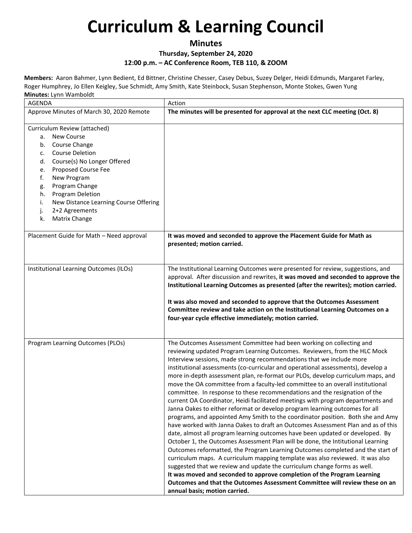### **Minutes Thursday, September 24, 2020 12:00 p.m. – AC Conference Room, TEB 110, & ZOOM**

**Members:** Aaron Bahmer, Lynn Bedient, Ed Bittner, Christine Chesser, Casey Debus, Suzey Delger, Heidi Edmunds, Margaret Farley, Roger Humphrey, Jo Ellen Keigley, Sue Schmidt, Amy Smith, Kate Steinbock, Susan Stephenson, Monte Stokes, Gwen Yung **Minutes:** Lynn Wamboldt

| <b>AGENDA</b>                                                                                                                                                                                                                                                                                                                                         | Action                                                                                                                                                                                                                                                                                                                                                                                                                                                                                                                                                                                                                                                                                                                                                                                                                                                                                                                                                                                                                                                                                                                                                                                                                                                                                                                                                                                                                                                                                                                  |
|-------------------------------------------------------------------------------------------------------------------------------------------------------------------------------------------------------------------------------------------------------------------------------------------------------------------------------------------------------|-------------------------------------------------------------------------------------------------------------------------------------------------------------------------------------------------------------------------------------------------------------------------------------------------------------------------------------------------------------------------------------------------------------------------------------------------------------------------------------------------------------------------------------------------------------------------------------------------------------------------------------------------------------------------------------------------------------------------------------------------------------------------------------------------------------------------------------------------------------------------------------------------------------------------------------------------------------------------------------------------------------------------------------------------------------------------------------------------------------------------------------------------------------------------------------------------------------------------------------------------------------------------------------------------------------------------------------------------------------------------------------------------------------------------------------------------------------------------------------------------------------------------|
| Approve Minutes of March 30, 2020 Remote                                                                                                                                                                                                                                                                                                              | The minutes will be presented for approval at the next CLC meeting (Oct. 8)                                                                                                                                                                                                                                                                                                                                                                                                                                                                                                                                                                                                                                                                                                                                                                                                                                                                                                                                                                                                                                                                                                                                                                                                                                                                                                                                                                                                                                             |
| Curriculum Review (attached)<br><b>New Course</b><br>а.<br>Course Change<br>b.<br><b>Course Deletion</b><br>c.<br>Course(s) No Longer Offered<br>d.<br>Proposed Course Fee<br>e.<br>f.<br>New Program<br>Program Change<br>g.<br>Program Deletion<br>h.<br>New Distance Learning Course Offering<br>i.<br>2+2 Agreements<br>j.<br>Matrix Change<br>k. |                                                                                                                                                                                                                                                                                                                                                                                                                                                                                                                                                                                                                                                                                                                                                                                                                                                                                                                                                                                                                                                                                                                                                                                                                                                                                                                                                                                                                                                                                                                         |
| Placement Guide for Math - Need approval                                                                                                                                                                                                                                                                                                              | It was moved and seconded to approve the Placement Guide for Math as<br>presented; motion carried.                                                                                                                                                                                                                                                                                                                                                                                                                                                                                                                                                                                                                                                                                                                                                                                                                                                                                                                                                                                                                                                                                                                                                                                                                                                                                                                                                                                                                      |
| Institutional Learning Outcomes (ILOs)                                                                                                                                                                                                                                                                                                                | The Institutional Learning Outcomes were presented for review, suggestions, and<br>approval. After discussion and rewrites, it was moved and seconded to approve the<br>Institutional Learning Outcomes as presented (after the rewrites); motion carried.<br>It was also moved and seconded to approve that the Outcomes Assessment<br>Committee review and take action on the Institutional Learning Outcomes on a<br>four-year cycle effective immediately; motion carried.                                                                                                                                                                                                                                                                                                                                                                                                                                                                                                                                                                                                                                                                                                                                                                                                                                                                                                                                                                                                                                          |
| Program Learning Outcomes (PLOs)                                                                                                                                                                                                                                                                                                                      | The Outcomes Assessment Committee had been working on collecting and<br>reviewing updated Program Learning Outcomes. Reviewers, from the HLC Mock<br>Interview sessions, made strong recommendations that we include more<br>institutional assessments (co-curricular and operational assessments), develop a<br>more in-depth assessment plan, re-format our PLOs, develop curriculum maps, and<br>move the OA committee from a faculty-led committee to an overall institutional<br>committee. In response to these recommendations and the resignation of the<br>current OA Coordinator, Heidi facilitated meetings with program departments and<br>Janna Oakes to either reformat or develop program learning outcomes for all<br>programs, and appointed Amy Smith to the coordinator position. Both she and Amy<br>have worked with Janna Oakes to draft an Outcomes Assessment Plan and as of this<br>date, almost all program learning outcomes have been updated or developed. By<br>October 1, the Outcomes Assessment Plan will be done, the Intitutional Learning<br>Outcomes reformatted, the Program Learning Outcomes completed and the start of<br>curriculum maps. A curriculum mapping template was also reviewed. It was also<br>suggested that we review and update the curriculum change forms as well.<br>It was moved and seconded to approve completion of the Program Learning<br>Outcomes and that the Outcomes Assessment Committee will review these on an<br>annual basis; motion carried. |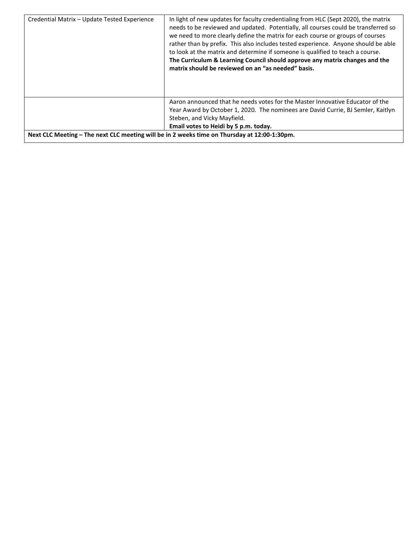| Credential Matrix - Update Tested Experience                                                 | In light of new updates for faculty credentialing from HLC (Sept 2020), the matrix<br>needs to be reviewed and updated. Potentially, all courses could be transferred so<br>we need to more clearly define the matrix for each course or groups of courses<br>rather than by prefix. This also includes tested experience. Anyone should be able<br>to look at the matrix and determine if someone is qualified to teach a course.<br>The Curriculum & Learning Council should approve any matrix changes and the<br>matrix should be reviewed on an "as needed" basis. |
|----------------------------------------------------------------------------------------------|-------------------------------------------------------------------------------------------------------------------------------------------------------------------------------------------------------------------------------------------------------------------------------------------------------------------------------------------------------------------------------------------------------------------------------------------------------------------------------------------------------------------------------------------------------------------------|
|                                                                                              | Aaron announced that he needs votes for the Master Innovative Educator of the<br>Year Award by October 1, 2020. The nominees are David Currie, BJ Semler, Kaitlyn<br>Steben, and Vicky Mayfield.<br>Email votes to Heidi by 5 p.m. today.                                                                                                                                                                                                                                                                                                                               |
| Next CLC Meeting - The next CLC meeting will be in 2 weeks time on Thursday at 12:00-1:30pm. |                                                                                                                                                                                                                                                                                                                                                                                                                                                                                                                                                                         |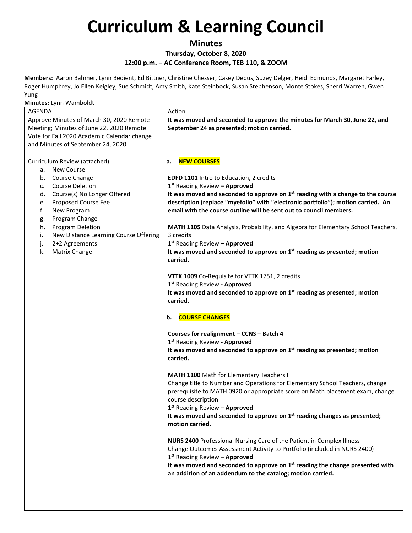### **Minutes**

### **Thursday, October 8, 2020**

**12:00 p.m. – AC Conference Room, TEB 110, & ZOOM** 

**Members:** Aaron Bahmer, Lynn Bedient, Ed Bittner, Christine Chesser, Casey Debus, Suzey Delger, Heidi Edmunds, Margaret Farley, Roger Humphrey, Jo Ellen Keigley, Sue Schmidt, Amy Smith, Kate Steinbock, Susan Stephenson, Monte Stokes, Sherri Warren, Gwen Yung

| Approve Minutes of March 30, 2020 Remote<br>It was moved and seconded to approve the minutes for March 30, June 22, and<br>Meeting; Minutes of June 22, 2020 Remote<br>September 24 as presented; motion carried.<br>Vote for Fall 2020 Academic Calendar change<br>and Minutes of September 24, 2020<br><b>NEW COURSES</b><br>Curriculum Review (attached)<br>a.<br>a. New Course<br>b. Course Change<br>EDFD 1101 Intro to Education, 2 credits<br><b>Course Deletion</b><br>1st Reading Review - Approved<br>c.<br>It was moved and seconded to approve on $1st$ reading with a change to the course<br>d. Course(s) No Longer Offered<br>description (replace "myefolio" with "electronic portfolio"); motion carried. An<br>Proposed Course Fee<br>е.<br>email with the course outline will be sent out to council members.<br>f.<br>New Program<br>Program Change<br>g.<br>Program Deletion<br>MATH 1105 Data Analysis, Probability, and Algebra for Elementary School Teachers,<br>h.<br>3 credits<br>i.<br>New Distance Learning Course Offering<br>2+2 Agreements<br>1 <sup>st</sup> Reading Review - Approved<br>j.<br>It was moved and seconded to approve on $1st$ reading as presented; motion<br>Matrix Change<br>k.<br>carried.<br>VTTK 1009 Co-Requisite for VTTK 1751, 2 credits<br>1st Reading Review - Approved<br>It was moved and seconded to approve on 1 <sup>st</sup> reading as presented; motion<br>carried.<br><b>COURSE CHANGES</b><br>b.<br>Courses for realignment - CCNS - Batch 4<br>1st Reading Review - Approved<br>It was moved and seconded to approve on 1 <sup>st</sup> reading as presented; motion<br>carried.<br>MATH 1100 Math for Elementary Teachers I<br>Change title to Number and Operations for Elementary School Teachers, change<br>prerequisite to MATH 0920 or appropriate score on Math placement exam, change<br>course description<br>$1st$ Reading Review - Approved<br>It was moved and seconded to approve on 1 <sup>st</sup> reading changes as presented;<br>motion carried.<br><b>NURS 2400 Professional Nursing Care of the Patient in Complex Illness</b><br>Change Outcomes Assessment Activity to Portfolio (included in NURS 2400)<br>$1st$ Reading Review - Approved<br>It was moved and seconded to approve on $1st$ reading the change presented with<br>an addition of an addendum to the catalog; motion carried. | <b>AGENDA</b> | Action |
|------------------------------------------------------------------------------------------------------------------------------------------------------------------------------------------------------------------------------------------------------------------------------------------------------------------------------------------------------------------------------------------------------------------------------------------------------------------------------------------------------------------------------------------------------------------------------------------------------------------------------------------------------------------------------------------------------------------------------------------------------------------------------------------------------------------------------------------------------------------------------------------------------------------------------------------------------------------------------------------------------------------------------------------------------------------------------------------------------------------------------------------------------------------------------------------------------------------------------------------------------------------------------------------------------------------------------------------------------------------------------------------------------------------------------------------------------------------------------------------------------------------------------------------------------------------------------------------------------------------------------------------------------------------------------------------------------------------------------------------------------------------------------------------------------------------------------------------------------------------------------------------------------------------------------------------------------------------------------------------------------------------------------------------------------------------------------------------------------------------------------------------------------------------------------------------------------------------------------------------------------------------------------------------------------------------------------------------------------------------------------------------|---------------|--------|
|                                                                                                                                                                                                                                                                                                                                                                                                                                                                                                                                                                                                                                                                                                                                                                                                                                                                                                                                                                                                                                                                                                                                                                                                                                                                                                                                                                                                                                                                                                                                                                                                                                                                                                                                                                                                                                                                                                                                                                                                                                                                                                                                                                                                                                                                                                                                                                                          |               |        |
|                                                                                                                                                                                                                                                                                                                                                                                                                                                                                                                                                                                                                                                                                                                                                                                                                                                                                                                                                                                                                                                                                                                                                                                                                                                                                                                                                                                                                                                                                                                                                                                                                                                                                                                                                                                                                                                                                                                                                                                                                                                                                                                                                                                                                                                                                                                                                                                          |               |        |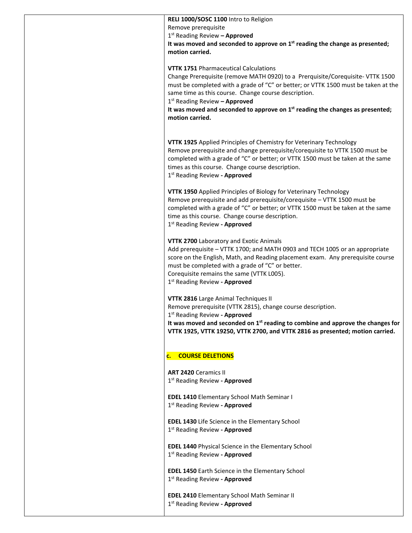| RELI 1000/SOSC 1100 Intro to Religion                                                                                                      |
|--------------------------------------------------------------------------------------------------------------------------------------------|
| Remove prerequisite                                                                                                                        |
| 1 <sup>st</sup> Reading Review - Approved                                                                                                  |
| It was moved and seconded to approve on 1 <sup>st</sup> reading the change as presented;                                                   |
| motion carried.                                                                                                                            |
| <b>VTTK 1751 Pharmaceutical Calculations</b><br>Change Prerequisite (remove MATH 0920) to a Prerquisite/Corequisite- VTTK 1500             |
| must be completed with a grade of "C" or better; or VTTK 1500 must be taken at the<br>same time as this course. Change course description. |
| 1st Reading Review - Approved                                                                                                              |
| It was moved and seconded to approve on $1st$ reading the changes as presented;                                                            |
| motion carried.                                                                                                                            |
|                                                                                                                                            |
| VTTK 1925 Applied Principles of Chemistry for Veterinary Technology                                                                        |
| Remove prerequisite and change prerequisite/corequisite to VTTK 1500 must be                                                               |
| completed with a grade of "C" or better; or VTTK 1500 must be taken at the same                                                            |
| times as this course. Change course description.                                                                                           |
| 1 <sup>st</sup> Reading Review - Approved                                                                                                  |
|                                                                                                                                            |
| VTTK 1950 Applied Principles of Biology for Veterinary Technology                                                                          |
| Remove prerequisite and add prerequisite/corequisite - VTTK 1500 must be                                                                   |
| completed with a grade of "C" or better; or VTTK 1500 must be taken at the same                                                            |
| time as this course. Change course description.                                                                                            |
| 1 <sup>st</sup> Reading Review - Approved                                                                                                  |
| VTTK 2700 Laboratory and Exotic Animals                                                                                                    |
| Add prerequisite - VTTK 1700; and MATH 0903 and TECH 1005 or an appropriate                                                                |
| score on the English, Math, and Reading placement exam. Any prerequisite course                                                            |
| must be completed with a grade of "C" or better.                                                                                           |
| Corequisite remains the same (VTTK L005).                                                                                                  |
| 1st Reading Review - Approved                                                                                                              |
| VTTK 2816 Large Animal Techniques II                                                                                                       |
| Remove prerequisite (VTTK 2815), change course description.                                                                                |
| 1 <sup>st</sup> Reading Review - <b>Approved</b>                                                                                           |
| It was moved and seconded on $1st$ reading to combine and approve the changes for                                                          |
| VTTK 1925, VTTK 19250, VTTK 2700, and VTTK 2816 as presented; motion carried.                                                              |
|                                                                                                                                            |
| <b>COURSE DELETIONS</b><br>c.                                                                                                              |
| <b>ART 2420 Ceramics II</b>                                                                                                                |
| 1st Reading Review - Approved                                                                                                              |
|                                                                                                                                            |
| <b>EDEL 1410 Elementary School Math Seminar I</b>                                                                                          |
| 1 <sup>st</sup> Reading Review - Approved                                                                                                  |
|                                                                                                                                            |
| <b>EDEL 1430</b> Life Science in the Elementary School                                                                                     |
| 1 <sup>st</sup> Reading Review - Approved                                                                                                  |
|                                                                                                                                            |
| <b>EDEL 1440 Physical Science in the Elementary School</b>                                                                                 |
| 1 <sup>st</sup> Reading Review - Approved                                                                                                  |
| <b>EDEL 1450</b> Earth Science in the Elementary School                                                                                    |
| 1st Reading Review - Approved                                                                                                              |
|                                                                                                                                            |
| <b>EDEL 2410 Elementary School Math Seminar II</b>                                                                                         |
| 1st Reading Review - Approved                                                                                                              |
|                                                                                                                                            |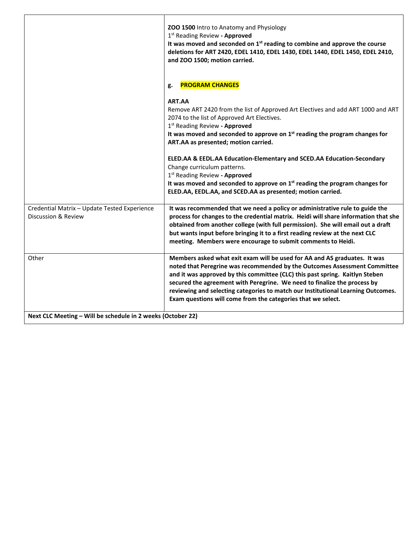|                                                                     | ZOO 1500 Intro to Anatomy and Physiology<br>1 <sup>st</sup> Reading Review - Approved<br>It was moved and seconded on 1 <sup>st</sup> reading to combine and approve the course<br>deletions for ART 2420, EDEL 1410, EDEL 1430, EDEL 1440, EDEL 1450, EDEL 2410,<br>and ZOO 1500; motion carried.                                                                                                                                                                     |
|---------------------------------------------------------------------|------------------------------------------------------------------------------------------------------------------------------------------------------------------------------------------------------------------------------------------------------------------------------------------------------------------------------------------------------------------------------------------------------------------------------------------------------------------------|
|                                                                     | <b>PROGRAM CHANGES</b><br>g.                                                                                                                                                                                                                                                                                                                                                                                                                                           |
|                                                                     | ART.AA<br>Remove ART 2420 from the list of Approved Art Electives and add ART 1000 and ART<br>2074 to the list of Approved Art Electives.<br>1st Reading Review - Approved<br>It was moved and seconded to approve on $1st$ reading the program changes for<br>ART.AA as presented; motion carried.                                                                                                                                                                    |
|                                                                     | ELED.AA & EEDL.AA Education-Elementary and SCED.AA Education-Secondary<br>Change curriculum patterns.<br>1st Reading Review - Approved<br>It was moved and seconded to approve on $1st$ reading the program changes for<br>ELED.AA, EEDL.AA, and SCED.AA as presented; motion carried.                                                                                                                                                                                 |
| Credential Matrix - Update Tested Experience<br>Discussion & Review | It was recommended that we need a policy or administrative rule to guide the<br>process for changes to the credential matrix. Heidi will share information that she<br>obtained from another college (with full permission). She will email out a draft<br>but wants input before bringing it to a first reading review at the next CLC<br>meeting. Members were encourage to submit comments to Heidi.                                                                |
| Other                                                               | Members asked what exit exam will be used for AA and AS graduates. It was<br>noted that Peregrine was recommended by the Outcomes Assessment Committee<br>and it was approved by this committee (CLC) this past spring. Kaitlyn Steben<br>secured the agreement with Peregrine. We need to finalize the process by<br>reviewing and selecting categories to match our Institutional Learning Outcomes.<br>Exam questions will come from the categories that we select. |
| Next CLC Meeting - Will be schedule in 2 weeks (October 22)         |                                                                                                                                                                                                                                                                                                                                                                                                                                                                        |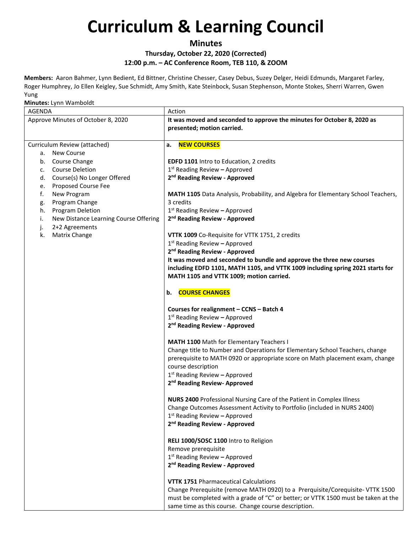### **Minutes**

#### **Thursday, October 22, 2020 (Corrected) 12:00 p.m. – AC Conference Room, TEB 110, & ZOOM**

**Members:** Aaron Bahmer, Lynn Bedient, Ed Bittner, Christine Chesser, Casey Debus, Suzey Delger, Heidi Edmunds, Margaret Farley, Roger Humphrey, Jo Ellen Keigley, Sue Schmidt, Amy Smith, Kate Steinbock, Susan Stephenson, Monte Stokes, Sherri Warren, Gwen Yung

| <b>AGENDA</b>                                                                                                                                                                                                                                        | Action                                                                                                                                                                                                                                                                                                                                                                                                                    |
|------------------------------------------------------------------------------------------------------------------------------------------------------------------------------------------------------------------------------------------------------|---------------------------------------------------------------------------------------------------------------------------------------------------------------------------------------------------------------------------------------------------------------------------------------------------------------------------------------------------------------------------------------------------------------------------|
| Approve Minutes of October 8, 2020                                                                                                                                                                                                                   | It was moved and seconded to approve the minutes for October 8, 2020 as<br>presented; motion carried.                                                                                                                                                                                                                                                                                                                     |
| Curriculum Review (attached)<br><b>New Course</b><br>а.<br>b. Course Change<br><b>Course Deletion</b><br>c.<br>Course(s) No Longer Offered<br>d.<br>Proposed Course Fee<br>e.<br>f.<br>New Program<br>Program Change<br>g.<br>Program Deletion<br>h. | <b>NEW COURSES</b><br>а.<br>EDFD 1101 Intro to Education, 2 credits<br>$1st$ Reading Review - Approved<br>2 <sup>nd</sup> Reading Review - Approved<br>MATH 1105 Data Analysis, Probability, and Algebra for Elementary School Teachers,<br>3 credits<br>$1st$ Reading Review - Approved                                                                                                                                  |
| New Distance Learning Course Offering<br>i.<br>2+2 Agreements<br>j.<br>k.<br>Matrix Change                                                                                                                                                           | 2 <sup>nd</sup> Reading Review - Approved<br>VTTK 1009 Co-Requisite for VTTK 1751, 2 credits<br>$1st$ Reading Review - Approved<br>2 <sup>nd</sup> Reading Review - Approved<br>It was moved and seconded to bundle and approve the three new courses<br>including EDFD 1101, MATH 1105, and VTTK 1009 including spring 2021 starts for<br>MATH 1105 and VTTK 1009; motion carried.                                       |
|                                                                                                                                                                                                                                                      | <b>COURSE CHANGES</b><br>b.<br>Courses for realignment - CCNS - Batch 4<br>$1st$ Reading Review - Approved<br>2 <sup>nd</sup> Reading Review - Approved<br><b>MATH 1100</b> Math for Elementary Teachers I<br>Change title to Number and Operations for Elementary School Teachers, change<br>prerequisite to MATH 0920 or appropriate score on Math placement exam, change                                               |
|                                                                                                                                                                                                                                                      | course description<br>$1st$ Reading Review - Approved<br>2 <sup>nd</sup> Reading Review- Approved<br><b>NURS 2400 Professional Nursing Care of the Patient in Complex Illness</b><br>Change Outcomes Assessment Activity to Portfolio (included in NURS 2400)<br>$1st$ Reading Review – Approved<br>2 <sup>nd</sup> Reading Review - Approved                                                                             |
|                                                                                                                                                                                                                                                      | RELI 1000/SOSC 1100 Intro to Religion<br>Remove prerequisite<br>1st Reading Review - Approved<br>2 <sup>nd</sup> Reading Review - Approved<br><b>VTTK 1751 Pharmaceutical Calculations</b><br>Change Prerequisite (remove MATH 0920) to a Prerquisite/Corequisite-VTTK 1500<br>must be completed with a grade of "C" or better; or VTTK 1500 must be taken at the<br>same time as this course. Change course description. |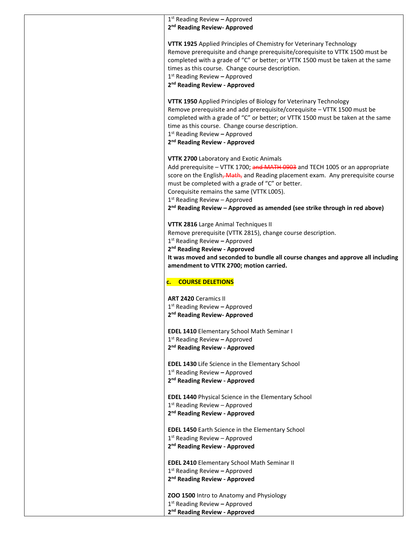| $1st$ Reading Review - Approved                                                        |
|----------------------------------------------------------------------------------------|
| 2 <sup>nd</sup> Reading Review- Approved                                               |
|                                                                                        |
| VTTK 1925 Applied Principles of Chemistry for Veterinary Technology                    |
| Remove prerequisite and change prerequisite/corequisite to VTTK 1500 must be           |
| completed with a grade of "C" or better; or VTTK 1500 must be taken at the same        |
| times as this course. Change course description.<br>$1st$ Reading Review - Approved    |
| 2 <sup>nd</sup> Reading Review - Approved                                              |
|                                                                                        |
| VTTK 1950 Applied Principles of Biology for Veterinary Technology                      |
| Remove prerequisite and add prerequisite/corequisite - VTTK 1500 must be               |
| completed with a grade of "C" or better; or VTTK 1500 must be taken at the same        |
| time as this course. Change course description.                                        |
| $1st$ Reading Review - Approved                                                        |
| 2 <sup>nd</sup> Reading Review - Approved                                              |
|                                                                                        |
| VTTK 2700 Laboratory and Exotic Animals                                                |
| Add prerequisite - VTTK 1700; and MATH 0903 and TECH 1005 or an appropriate            |
| score on the English, Math, and Reading placement exam. Any prerequisite course        |
| must be completed with a grade of "C" or better.                                       |
| Corequisite remains the same (VTTK L005).<br>$1st$ Reading Review – Approved           |
| 2 <sup>nd</sup> Reading Review - Approved as amended (see strike through in red above) |
|                                                                                        |
| VTTK 2816 Large Animal Techniques II                                                   |
| Remove prerequisite (VTTK 2815), change course description.                            |
| $1st$ Reading Review - Approved                                                        |
| 2 <sup>nd</sup> Reading Review - Approved                                              |
| It was moved and seconded to bundle all course changes and approve all including       |
| amendment to VTTK 2700; motion carried.                                                |
| c. COURSE DELETIONS                                                                    |
|                                                                                        |
| <b>ART 2420 Ceramics II</b>                                                            |
| $1st$ Reading Review - Approved                                                        |
| 2 <sup>nd</sup> Reading Review- Approved                                               |
|                                                                                        |
| <b>EDEL 1410 Elementary School Math Seminar I</b>                                      |
| $1st$ Reading Review - Approved                                                        |
| 2 <sup>nd</sup> Reading Review - Approved                                              |
|                                                                                        |
| EDEL 1430 Life Science in the Elementary School                                        |
| $1st$ Reading Review – Approved                                                        |
| 2 <sup>nd</sup> Reading Review - Approved                                              |
| <b>EDEL 1440 Physical Science in the Elementary School</b>                             |
| 1st Reading Review - Approved                                                          |
| 2 <sup>nd</sup> Reading Review - Approved                                              |
|                                                                                        |
| <b>EDEL 1450 Earth Science in the Elementary School</b>                                |
| $1st$ Reading Review – Approved                                                        |
| 2 <sup>nd</sup> Reading Review - Approved                                              |
|                                                                                        |
| <b>EDEL 2410 Elementary School Math Seminar II</b>                                     |
| $1st$ Reading Review – Approved                                                        |
| 2 <sup>nd</sup> Reading Review - Approved                                              |
| ZOO 1500 Intro to Anatomy and Physiology                                               |
| $1st$ Reading Review - Approved                                                        |
| 2 <sup>nd</sup> Reading Review - Approved                                              |
|                                                                                        |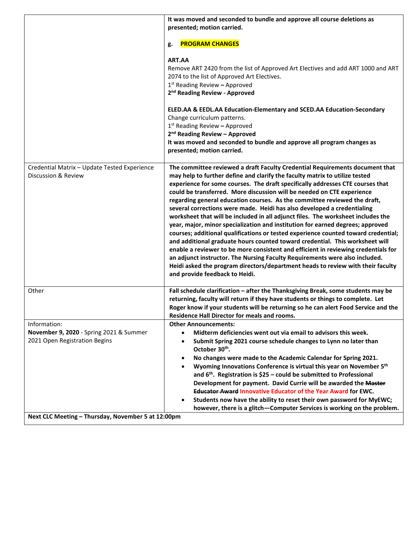|                                                                                          | It was moved and seconded to bundle and approve all course deletions as                                                                                                                                                                                                                                                                                                                                                                                                                                                                                                                                                                                                                                                                                                                                                                                                                                                                                                                                                                                                                                               |
|------------------------------------------------------------------------------------------|-----------------------------------------------------------------------------------------------------------------------------------------------------------------------------------------------------------------------------------------------------------------------------------------------------------------------------------------------------------------------------------------------------------------------------------------------------------------------------------------------------------------------------------------------------------------------------------------------------------------------------------------------------------------------------------------------------------------------------------------------------------------------------------------------------------------------------------------------------------------------------------------------------------------------------------------------------------------------------------------------------------------------------------------------------------------------------------------------------------------------|
|                                                                                          | presented; motion carried.                                                                                                                                                                                                                                                                                                                                                                                                                                                                                                                                                                                                                                                                                                                                                                                                                                                                                                                                                                                                                                                                                            |
|                                                                                          | <b>PROGRAM CHANGES</b><br>g.                                                                                                                                                                                                                                                                                                                                                                                                                                                                                                                                                                                                                                                                                                                                                                                                                                                                                                                                                                                                                                                                                          |
|                                                                                          | ART.AA<br>Remove ART 2420 from the list of Approved Art Electives and add ART 1000 and ART<br>2074 to the list of Approved Art Electives.<br>$1st$ Reading Review - Approved<br>2 <sup>nd</sup> Reading Review - Approved                                                                                                                                                                                                                                                                                                                                                                                                                                                                                                                                                                                                                                                                                                                                                                                                                                                                                             |
|                                                                                          | ELED.AA & EEDL.AA Education-Elementary and SCED.AA Education-Secondary<br>Change curriculum patterns.<br>$1st$ Reading Review – Approved<br>2 <sup>nd</sup> Reading Review - Approved<br>It was moved and seconded to bundle and approve all program changes as<br>presented; motion carried.                                                                                                                                                                                                                                                                                                                                                                                                                                                                                                                                                                                                                                                                                                                                                                                                                         |
| Credential Matrix - Update Tested Experience<br>Discussion & Review                      | The committee reviewed a draft Faculty Credential Requirements document that<br>may help to further define and clarify the faculty matrix to utilize tested<br>experience for some courses. The draft specifically addresses CTE courses that<br>could be transferred. More discussion will be needed on CTE experience<br>regarding general education courses. As the committee reviewed the draft,<br>several corrections were made. Heidi has also developed a credentialing<br>worksheet that will be included in all adjunct files. The worksheet includes the<br>year, major, minor specialization and institution for earned degrees; approved<br>courses; additional qualifications or tested experience counted toward credential;<br>and additional graduate hours counted toward credential. This worksheet will<br>enable a reviewer to be more consistent and efficient in reviewing credentials for<br>an adjunct instructor. The Nursing Faculty Requirements were also included.<br>Heidi asked the program directors/department heads to review with their faculty<br>and provide feedback to Heidi. |
| Other                                                                                    | Fall schedule clarification - after the Thanksgiving Break, some students may be<br>returning, faculty will return if they have students or things to complete. Let<br>Roger know if your students will be returning so he can alert Food Service and the<br>Residence Hall Director for meals and rooms.                                                                                                                                                                                                                                                                                                                                                                                                                                                                                                                                                                                                                                                                                                                                                                                                             |
| Information:<br>November 9, 2020 - Spring 2021 & Summer<br>2021 Open Registration Begins | <b>Other Announcements:</b><br>Midterm deficiencies went out via email to advisors this week.<br>$\bullet$<br>Submit Spring 2021 course schedule changes to Lynn no later than<br>$\bullet$<br>October 30th.<br>No changes were made to the Academic Calendar for Spring 2021.<br>٠<br>Wyoming Innovations Conference is virtual this year on November 5th<br>and $6th$ . Registration is \$25 – could be submitted to Professional<br>Development for payment. David Currie will be awarded the Master<br><b>Educator Award Innovative Educator of the Year Award for EWC.</b><br>Students now have the ability to reset their own password for MyEWC;<br>٠<br>however, there is a glitch-Computer Services is working on the problem.                                                                                                                                                                                                                                                                                                                                                                               |
| Next CLC Meeting - Thursday, November 5 at 12:00pm                                       |                                                                                                                                                                                                                                                                                                                                                                                                                                                                                                                                                                                                                                                                                                                                                                                                                                                                                                                                                                                                                                                                                                                       |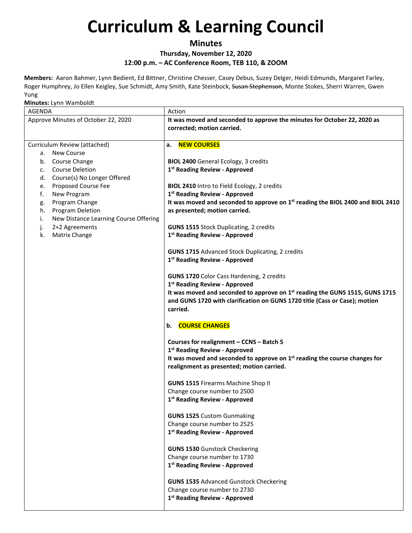### **Minutes**

#### **Thursday, November 12, 2020 12:00 p.m. – AC Conference Room, TEB 110, & ZOOM**

**Members:** Aaron Bahmer, Lynn Bedient, Ed Bittner, Christine Chesser, Casey Debus, Suzey Delger, Heidi Edmunds, Margaret Farley, Roger Humphrey, Jo Ellen Keigley, Sue Schmidt, Amy Smith, Kate Steinbock, Susan Stephenson, Monte Stokes, Sherri Warren, Gwen Yung

| AGENDA                                                                                                                                                                                                                                                                                                                                   | Action                                                                                                                                                                                                                                                                                                                                                                                                                                                                                                                                    |
|------------------------------------------------------------------------------------------------------------------------------------------------------------------------------------------------------------------------------------------------------------------------------------------------------------------------------------------|-------------------------------------------------------------------------------------------------------------------------------------------------------------------------------------------------------------------------------------------------------------------------------------------------------------------------------------------------------------------------------------------------------------------------------------------------------------------------------------------------------------------------------------------|
| Approve Minutes of October 22, 2020                                                                                                                                                                                                                                                                                                      | It was moved and seconded to approve the minutes for October 22, 2020 as<br>corrected; motion carried.                                                                                                                                                                                                                                                                                                                                                                                                                                    |
|                                                                                                                                                                                                                                                                                                                                          |                                                                                                                                                                                                                                                                                                                                                                                                                                                                                                                                           |
| Curriculum Review (attached)<br>a. New Course<br>b. Course Change<br><b>Course Deletion</b><br>C.<br>Course(s) No Longer Offered<br>d.<br>Proposed Course Fee<br>e.<br>f.<br>New Program<br>Program Change<br>g.<br>Program Deletion<br>h.<br>i.<br>New Distance Learning Course Offering<br>j.<br>2+2 Agreements<br>k.<br>Matrix Change | <b>NEW COURSES</b><br>а.<br><b>BIOL 2400</b> General Ecology, 3 credits<br>1 <sup>st</sup> Reading Review - Approved<br>BIOL 2410 Intro to Field Ecology, 2 credits<br>1 <sup>st</sup> Reading Review - Approved<br>It was moved and seconded to approve on 1st reading the BIOL 2400 and BIOL 2410<br>as presented; motion carried.<br><b>GUNS 1515 Stock Duplicating, 2 credits</b><br>1 <sup>st</sup> Reading Review - Approved<br><b>GUNS 1715</b> Advanced Stock Duplicating, 2 credits<br>1 <sup>st</sup> Reading Review - Approved |
|                                                                                                                                                                                                                                                                                                                                          | GUNS 1720 Color Cass Hardening, 2 credits<br>1 <sup>st</sup> Reading Review - Approved<br>It was moved and seconded to approve on 1st reading the GUNS 1515, GUNS 1715<br>and GUNS 1720 with clarification on GUNS 1720 title (Cass or Case); motion<br>carried.                                                                                                                                                                                                                                                                          |
|                                                                                                                                                                                                                                                                                                                                          | <b>COURSE CHANGES</b><br>b.                                                                                                                                                                                                                                                                                                                                                                                                                                                                                                               |
|                                                                                                                                                                                                                                                                                                                                          | Courses for realignment - CCNS - Batch 5<br>1 <sup>st</sup> Reading Review - Approved<br>It was moved and seconded to approve on 1 <sup>st</sup> reading the course changes for<br>realignment as presented; motion carried.                                                                                                                                                                                                                                                                                                              |
|                                                                                                                                                                                                                                                                                                                                          | <b>GUNS 1515 Firearms Machine Shop II</b>                                                                                                                                                                                                                                                                                                                                                                                                                                                                                                 |
|                                                                                                                                                                                                                                                                                                                                          | Change course number to 2500                                                                                                                                                                                                                                                                                                                                                                                                                                                                                                              |
|                                                                                                                                                                                                                                                                                                                                          | 1 <sup>st</sup> Reading Review - Approved                                                                                                                                                                                                                                                                                                                                                                                                                                                                                                 |
|                                                                                                                                                                                                                                                                                                                                          | <b>GUNS 1525</b> Custom Gunmaking<br>Change course number to 2525<br>1st Reading Review - Approved                                                                                                                                                                                                                                                                                                                                                                                                                                        |
|                                                                                                                                                                                                                                                                                                                                          | <b>GUNS 1530 Gunstock Checkering</b><br>Change course number to 1730<br>1st Reading Review - Approved                                                                                                                                                                                                                                                                                                                                                                                                                                     |
|                                                                                                                                                                                                                                                                                                                                          | <b>GUNS 1535 Advanced Gunstock Checkering</b><br>Change course number to 2730<br>1 <sup>st</sup> Reading Review - Approved                                                                                                                                                                                                                                                                                                                                                                                                                |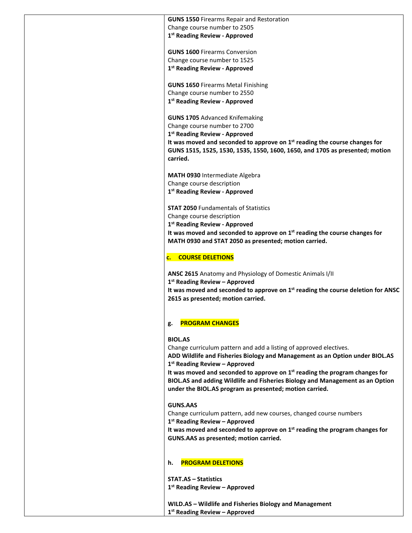**GUNS 1550** Firearms Repair and Restoration Change course number to 2505 **1st Reading Review - Approved**

**GUNS 1600** Firearms Conversion Change course number to 1525 **1st Reading Review - Approved**

**GUNS 1650** Firearms Metal Finishing Change course number to 2550 **1st Reading Review - Approved**

**GUNS 1705** Advanced Knifemaking Change course number to 2700 **1st Reading Review - Approved It was moved and seconded to approve on 1st reading the course changes for GUNS 1515, 1525, 1530, 1535, 1550, 1600, 1650, and 1705 as presented; motion carried.**

**MATH 0930** Intermediate Algebra Change course description **1st Reading Review - Approved**

**STAT 2050** Fundamentals of Statistics Change course description **1st Reading Review - Approved It was moved and seconded to approve on 1st reading the course changes for MATH 0930 and STAT 2050 as presented; motion carried.**

#### **c. COURSE DELETIONS**

**ANSC 2615** Anatomy and Physiology of Domestic Animals I/II **1st Reading Review – Approved It was moved and seconded to approve on 1st reading the course deletion for ANSC 2615 as presented; motion carried.**

#### **g. PROGRAM CHANGES**

#### **BIOL.AS**

Change curriculum pattern and add a listing of approved electives.

**ADD Wildlife and Fisheries Biology and Management as an Option under BIOL.AS 1st Reading Review – Approved**

**It was moved and seconded to approve on 1st reading the program changes for BIOL.AS and adding Wildlife and Fisheries Biology and Management as an Option under the BIOL.AS program as presented; motion carried.**

#### **GUNS.AAS**

Change curriculum pattern, add new courses, changed course numbers **1st Reading Review – Approved**

**It was moved and seconded to approve on 1st reading the program changes for GUNS.AAS as presented; motion carried.**

#### **h. PROGRAM DELETIONS**

**STAT.AS – Statistics 1st Reading Review – Approved**

**WILD.AS – Wildlife and Fisheries Biology and Management 1st Reading Review – Approved**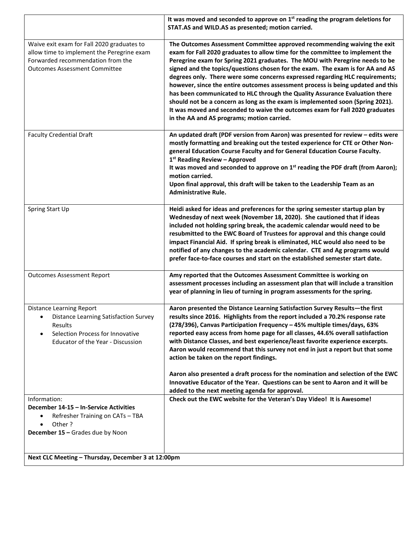|                                                                                                                                                                                         | It was moved and seconded to approve on $1st$ reading the program deletions for<br>STAT.AS and WILD.AS as presented; motion carried.                                                                                                                                                                                                                                                                                                                                                                                                                                                                                                                                                                                                                                                          |
|-----------------------------------------------------------------------------------------------------------------------------------------------------------------------------------------|-----------------------------------------------------------------------------------------------------------------------------------------------------------------------------------------------------------------------------------------------------------------------------------------------------------------------------------------------------------------------------------------------------------------------------------------------------------------------------------------------------------------------------------------------------------------------------------------------------------------------------------------------------------------------------------------------------------------------------------------------------------------------------------------------|
| Waive exit exam for Fall 2020 graduates to<br>allow time to implement the Peregrine exam<br>Forwarded recommendation from the<br><b>Outcomes Assessment Committee</b>                   | The Outcomes Assessment Committee approved recommending waiving the exit<br>exam for Fall 2020 graduates to allow time for the committee to implement the<br>Peregrine exam for Spring 2021 graduates. The MOU with Peregrine needs to be<br>signed and the topics/questions chosen for the exam. The exam is for AA and AS<br>degrees only. There were some concerns expressed regarding HLC requirements;<br>however, since the entire outcomes assessment process is being updated and this<br>has been communicated to HLC through the Quality Assurance Evaluation there<br>should not be a concern as long as the exam is implemented soon (Spring 2021).<br>It was moved and seconded to waive the outcomes exam for Fall 2020 graduates<br>in the AA and AS programs; motion carried. |
| <b>Faculty Credential Draft</b>                                                                                                                                                         | An updated draft (PDF version from Aaron) was presented for review - edits were<br>mostly formatting and breaking out the tested experience for CTE or Other Non-<br>general Education Course Faculty and for General Education Course Faculty.<br>1 <sup>st</sup> Reading Review - Approved<br>It was moved and seconded to approve on 1 <sup>st</sup> reading the PDF draft (from Aaron);<br>motion carried.<br>Upon final approval, this draft will be taken to the Leadership Team as an<br><b>Administrative Rule.</b>                                                                                                                                                                                                                                                                   |
| Spring Start Up                                                                                                                                                                         | Heidi asked for ideas and preferences for the spring semester startup plan by<br>Wednesday of next week (November 18, 2020). She cautioned that if ideas<br>included not holding spring break, the academic calendar would need to be<br>resubmitted to the EWC Board of Trustees for approval and this change could<br>impact Financial Aid. If spring break is eliminated, HLC would also need to be<br>notified of any changes to the academic calendar. CTE and Ag programs would<br>prefer face-to-face courses and start on the established semester start date.                                                                                                                                                                                                                        |
| <b>Outcomes Assessment Report</b>                                                                                                                                                       | Amy reported that the Outcomes Assessment Committee is working on<br>assessment processes including an assessment plan that will include a transition<br>year of planning in lieu of turning in program assessments for the spring.                                                                                                                                                                                                                                                                                                                                                                                                                                                                                                                                                           |
| <b>Distance Learning Report</b><br><b>Distance Learning Satisfaction Survey</b><br>Results<br>Selection Process for Innovative<br>$\bullet$<br><b>Educator of the Year - Discussion</b> | Aaron presented the Distance Learning Satisfaction Survey Results-the first<br>results since 2016. Highlights from the report included a 70.2% response rate<br>(278/396), Canvas Participation Frequency - 45% multiple times/days, 63%<br>reported easy access from home page for all classes, 44.6% overall satisfaction<br>with Distance Classes, and best experience/least favorite experience excerpts.<br>Aaron would recommend that this survey not end in just a report but that some<br>action be taken on the report findings.<br>Aaron also presented a draft process for the nomination and selection of the EWC                                                                                                                                                                 |
|                                                                                                                                                                                         | Innovative Educator of the Year. Questions can be sent to Aaron and it will be<br>added to the next meeting agenda for approval.                                                                                                                                                                                                                                                                                                                                                                                                                                                                                                                                                                                                                                                              |
| Information:<br>December 14-15 - In-Service Activities<br>Refresher Training on CATs - TBA<br>$\bullet$<br>Other?<br>$\bullet$<br>December 15 - Grades due by Noon                      | Check out the EWC website for the Veteran's Day Video! It is Awesome!                                                                                                                                                                                                                                                                                                                                                                                                                                                                                                                                                                                                                                                                                                                         |
|                                                                                                                                                                                         |                                                                                                                                                                                                                                                                                                                                                                                                                                                                                                                                                                                                                                                                                                                                                                                               |
| Next CLC Meeting - Thursday, December 3 at 12:00pm                                                                                                                                      |                                                                                                                                                                                                                                                                                                                                                                                                                                                                                                                                                                                                                                                                                                                                                                                               |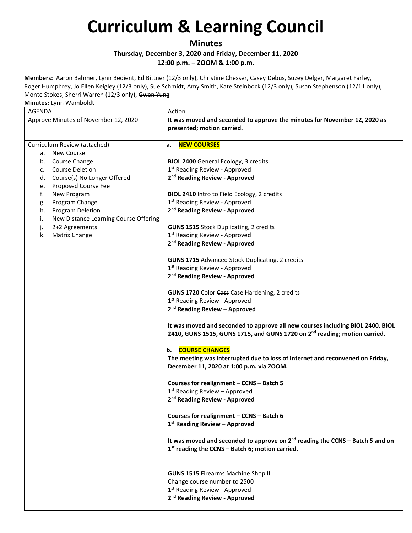### **Minutes**

**Thursday, December 3, 2020 and Friday, December 11, 2020 12:00 p.m. – ZOOM & 1:00 p.m.**

**Members:** Aaron Bahmer, Lynn Bedient, Ed Bittner (12/3 only), Christine Chesser, Casey Debus, Suzey Delger, Margaret Farley, Roger Humphrey, Jo Ellen Keigley (12/3 only), Sue Schmidt, Amy Smith, Kate Steinbock (12/3 only), Susan Stephenson (12/11 only), Monte Stokes, Sherri Warren (12/3 only), Gwen Yung

| AGENDA                                      | Action                                                                                                                                                                  |
|---------------------------------------------|-------------------------------------------------------------------------------------------------------------------------------------------------------------------------|
| Approve Minutes of November 12, 2020        | It was moved and seconded to approve the minutes for November 12, 2020 as<br>presented; motion carried.                                                                 |
| Curriculum Review (attached)                | <b>NEW COURSES</b><br>а.                                                                                                                                                |
| a. New Course                               |                                                                                                                                                                         |
| b. Course Change                            | <b>BIOL 2400</b> General Ecology, 3 credits                                                                                                                             |
| <b>Course Deletion</b><br>c.                | 1 <sup>st</sup> Reading Review - Approved                                                                                                                               |
| d. Course(s) No Longer Offered              | 2 <sup>nd</sup> Reading Review - Approved                                                                                                                               |
| Proposed Course Fee<br>e.                   |                                                                                                                                                                         |
| f.<br>New Program                           | BIOL 2410 Intro to Field Ecology, 2 credits                                                                                                                             |
| Program Change<br>g.                        | 1 <sup>st</sup> Reading Review - Approved                                                                                                                               |
| <b>Program Deletion</b><br>h.               | 2 <sup>nd</sup> Reading Review - Approved                                                                                                                               |
| New Distance Learning Course Offering<br>i. |                                                                                                                                                                         |
| 2+2 Agreements<br>j.                        | <b>GUNS 1515 Stock Duplicating, 2 credits</b>                                                                                                                           |
| Matrix Change<br>k.                         | 1 <sup>st</sup> Reading Review - Approved<br>2 <sup>nd</sup> Reading Review - Approved                                                                                  |
|                                             |                                                                                                                                                                         |
|                                             | <b>GUNS 1715</b> Advanced Stock Duplicating, 2 credits                                                                                                                  |
|                                             | 1 <sup>st</sup> Reading Review - Approved                                                                                                                               |
|                                             | 2 <sup>nd</sup> Reading Review - Approved                                                                                                                               |
|                                             |                                                                                                                                                                         |
|                                             | GUNS 1720 Color Cass Case Hardening, 2 credits                                                                                                                          |
|                                             | 1 <sup>st</sup> Reading Review - Approved                                                                                                                               |
|                                             | 2 <sup>nd</sup> Reading Review - Approved                                                                                                                               |
|                                             | It was moved and seconded to approve all new courses including BIOL 2400, BIOL<br>2410, GUNS 1515, GUNS 1715, and GUNS 1720 on 2 <sup>nd</sup> reading; motion carried. |
|                                             | <b>COURSE CHANGES</b><br>b.                                                                                                                                             |
|                                             | The meeting was interrupted due to loss of Internet and reconvened on Friday,<br>December 11, 2020 at 1:00 p.m. via ZOOM.                                               |
|                                             | Courses for realignment - CCNS - Batch 5                                                                                                                                |
|                                             | $1st$ Reading Review - Approved                                                                                                                                         |
|                                             | 2 <sup>nd</sup> Reading Review - Approved                                                                                                                               |
|                                             |                                                                                                                                                                         |
|                                             | Courses for realignment - CCNS - Batch 6                                                                                                                                |
|                                             | 1st Reading Review - Approved                                                                                                                                           |
|                                             | It was moved and seconded to approve on $2^{nd}$ reading the CCNS - Batch 5 and on<br>$1st$ reading the CCNS - Batch 6; motion carried.                                 |
|                                             |                                                                                                                                                                         |
|                                             | <b>GUNS 1515 Firearms Machine Shop II</b>                                                                                                                               |
|                                             | Change course number to 2500                                                                                                                                            |
|                                             | 1 <sup>st</sup> Reading Review - Approved                                                                                                                               |
|                                             | 2 <sup>nd</sup> Reading Review - Approved                                                                                                                               |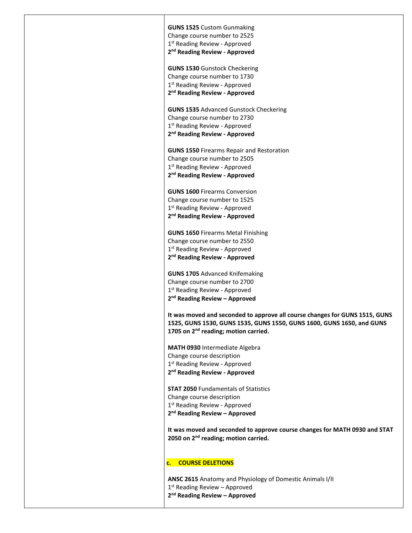**GUNS 1525** Custom Gunmaking Change course number to 2525 1st Reading Review - Approved **2nd Reading Review - Approved**

**GUNS 1530** Gunstock Checkering Change course number to 1730 1<sup>st</sup> Reading Review - Approved **2nd Reading Review - Approved**

**GUNS 1535** Advanced Gunstock Checkering Change course number to 2730 1<sup>st</sup> Reading Review - Approved **2nd Reading Review - Approved**

**GUNS 1550** Firearms Repair and Restoration Change course number to 2505 1st Reading Review - Approved **2nd Reading Review - Approved**

**GUNS 1600** Firearms Conversion Change course number to 1525 1<sup>st</sup> Reading Review - Approved **2nd Reading Review - Approved**

**GUNS 1650** Firearms Metal Finishing Change course number to 2550 1st Reading Review - Approved **2nd Reading Review - Approved**

**GUNS 1705** Advanced Knifemaking Change course number to 2700 1<sup>st</sup> Reading Review - Approved **2nd Reading Review – Approved**

**It was moved and seconded to approve all course changes for GUNS 1515, GUNS 1525, GUNS 1530, GUNS 1535, GUNS 1550, GUNS 1600, GUNS 1650, and GUNS 1705 on 2nd reading; motion carried.**

**MATH 0930** Intermediate Algebra Change course description 1<sup>st</sup> Reading Review - Approved **2nd Reading Review - Approved**

**STAT 2050** Fundamentals of Statistics Change course description 1<sup>st</sup> Reading Review - Approved **2nd Reading Review – Approved**

**It was moved and seconded to approve course changes for MATH 0930 and STAT 2050 on 2nd reading; motion carried.**

#### **c. COURSE DELETIONS**

**ANSC 2615** Anatomy and Physiology of Domestic Animals I/II 1<sup>st</sup> Reading Review - Approved **2nd Reading Review – Approved**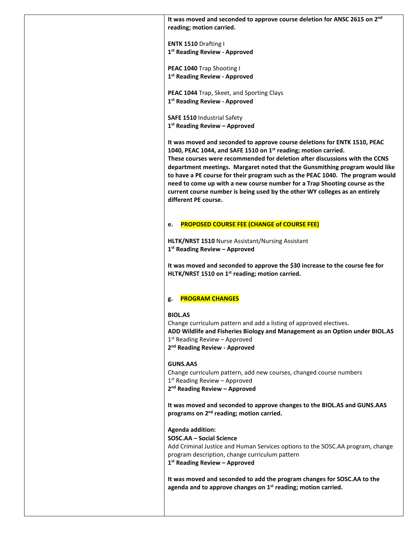**It was moved and seconded to approve course deletion for ANSC 2615 on 2nd reading; motion carried.**

**ENTK 1510** Drafting I **1st Reading Review - Approved**

**PEAC 1040** Trap Shooting I **1st Reading Review - Approved**

**PEAC 1044** Trap, Skeet, and Sporting Clays **1st Reading Review - Approved**

**SAFE 1510** Industrial Safety **1st Reading Review – Approved**

**It was moved and seconded to approve course deletions for ENTK 1510, PEAC 1040, PEAC 1044, and SAFE 1510 on 1st reading; motion carried. These courses were recommended for deletion after discussions with the CCNS department meetings. Margaret noted that the Gunsmithing program would like to have a PE course for their program such as the PEAC 1040. The program would need to come up with a new course number for a Trap Shooting course as the current course number is being used by the other WY colleges as an entirely different PE course.**

#### **e. PROPOSED COURSE FEE (CHANGE of COURSE FEE)**

**HLTK/NRST 1510** Nurse Assistant/Nursing Assistant **1st Reading Review – Approved**

**It was moved and seconded to approve the \$30 increase to the course fee for HLTK/NRST 1510 on 1st reading; motion carried.**

#### **g. PROGRAM CHANGES**

#### **BIOL.AS**

Change curriculum pattern and add a listing of approved electives. **ADD Wildlife and Fisheries Biology and Management as an Option under BIOL.AS** 1<sup>st</sup> Reading Review - Approved **2nd Reading Review - Approved**

#### **GUNS.AAS**

Change curriculum pattern, add new courses, changed course numbers 1<sup>st</sup> Reading Review - Approved

**2nd Reading Review – Approved**

**It was moved and seconded to approve changes to the BIOL.AS and GUNS.AAS programs on 2nd reading; motion carried.**

**Agenda addition:**

**SOSC.AA – Social Science**

Add Criminal Justice and Human Services options to the SOSC.AA program, change program description, change curriculum pattern **1st Reading Review – Approved**

**It was moved and seconded to add the program changes for SOSC.AA to the agenda and to approve changes on 1st reading; motion carried.**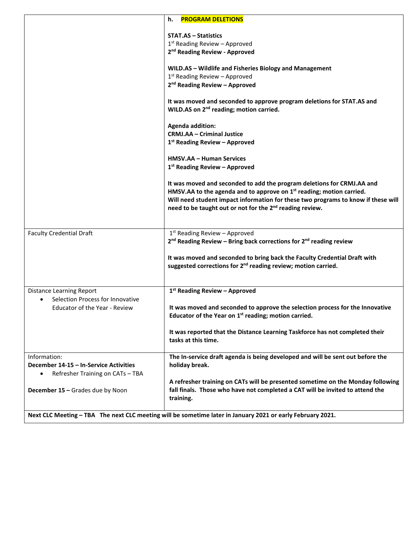|                                                                     | h.<br><b>PROGRAM DELETIONS</b>                                                                                                                                   |
|---------------------------------------------------------------------|------------------------------------------------------------------------------------------------------------------------------------------------------------------|
|                                                                     | <b>STAT.AS - Statistics</b>                                                                                                                                      |
|                                                                     | $1st$ Reading Review - Approved                                                                                                                                  |
|                                                                     | 2 <sup>nd</sup> Reading Review - Approved                                                                                                                        |
|                                                                     |                                                                                                                                                                  |
|                                                                     | WILD.AS - Wildlife and Fisheries Biology and Management<br>$1st$ Reading Review - Approved                                                                       |
|                                                                     | 2 <sup>nd</sup> Reading Review - Approved                                                                                                                        |
|                                                                     |                                                                                                                                                                  |
|                                                                     | It was moved and seconded to approve program deletions for STAT.AS and                                                                                           |
|                                                                     | WILD.AS on 2 <sup>nd</sup> reading; motion carried.                                                                                                              |
|                                                                     | <b>Agenda addition:</b>                                                                                                                                          |
|                                                                     | <b>CRMJ.AA - Criminal Justice</b>                                                                                                                                |
|                                                                     | 1st Reading Review - Approved                                                                                                                                    |
|                                                                     |                                                                                                                                                                  |
|                                                                     | <b>HMSV.AA - Human Services</b><br>1st Reading Review - Approved                                                                                                 |
|                                                                     |                                                                                                                                                                  |
|                                                                     | It was moved and seconded to add the program deletions for CRMJ.AA and                                                                                           |
|                                                                     | HMSV.AA to the agenda and to approve on 1 <sup>st</sup> reading; motion carried.                                                                                 |
|                                                                     | Will need student impact information for these two programs to know if these will                                                                                |
|                                                                     | need to be taught out or not for the 2 <sup>nd</sup> reading review.                                                                                             |
|                                                                     |                                                                                                                                                                  |
| <b>Faculty Credential Draft</b>                                     | $1st$ Reading Review – Approved                                                                                                                                  |
|                                                                     | 2 <sup>nd</sup> Reading Review - Bring back corrections for 2 <sup>nd</sup> reading review                                                                       |
|                                                                     | It was moved and seconded to bring back the Faculty Credential Draft with                                                                                        |
|                                                                     | suggested corrections for 2 <sup>nd</sup> reading review; motion carried.                                                                                        |
|                                                                     |                                                                                                                                                                  |
|                                                                     | 1st Reading Review - Approved                                                                                                                                    |
| <b>Distance Learning Report</b><br>Selection Process for Innovative |                                                                                                                                                                  |
| <b>Educator of the Year - Review</b>                                | It was moved and seconded to approve the selection process for the Innovative                                                                                    |
|                                                                     | Educator of the Year on 1 <sup>st</sup> reading; motion carried.                                                                                                 |
|                                                                     |                                                                                                                                                                  |
|                                                                     | It was reported that the Distance Learning Taskforce has not completed their<br>tasks at this time.                                                              |
|                                                                     |                                                                                                                                                                  |
| Information:                                                        | The In-service draft agenda is being developed and will be sent out before the                                                                                   |
| December 14-15 - In-Service Activities                              | holiday break.                                                                                                                                                   |
| Refresher Training on CATs - TBA<br>$\bullet$                       |                                                                                                                                                                  |
| December 15 - Grades due by Noon                                    | A refresher training on CATs will be presented sometime on the Monday following<br>fall finals. Those who have not completed a CAT will be invited to attend the |
|                                                                     | training.                                                                                                                                                        |
|                                                                     |                                                                                                                                                                  |
|                                                                     | Next CLC Meeting - TBA The next CLC meeting will be sometime later in January 2021 or early February 2021.                                                       |

 $\overline{\phantom{a}}$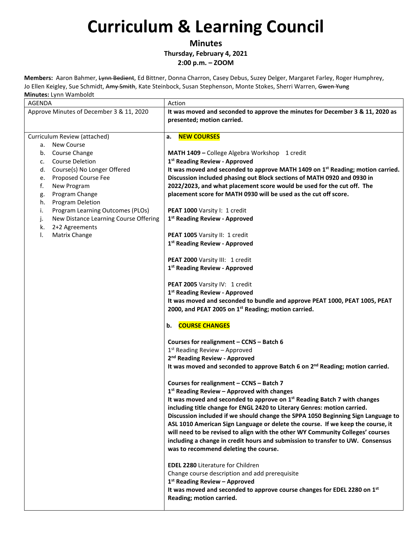**Minutes**

**Thursday, February 4, 2021**

**2:00 p.m. – ZOOM** 

**Members:** Aaron Bahmer, Lynn Bedient, Ed Bittner, Donna Charron, Casey Debus, Suzey Delger, Margaret Farley, Roger Humphrey, Jo Ellen Keigley, Sue Schmidt, Amy Smith, Kate Steinbock, Susan Stephenson, Monte Stokes, Sherri Warren, Gwen Yung **Minutes:** Lynn Wamboldt

| AGENDA                                      | Action                                                                                                      |
|---------------------------------------------|-------------------------------------------------------------------------------------------------------------|
| Approve Minutes of December 3 & 11, 2020    | It was moved and seconded to approve the minutes for December 3 & 11, 2020 as<br>presented; motion carried. |
| Curriculum Review (attached)                | <b>NEW COURSES</b><br>a.                                                                                    |
| <b>New Course</b>                           |                                                                                                             |
| а.                                          |                                                                                                             |
| Course Change<br>b.                         | MATH 1409 - College Algebra Workshop 1 credit                                                               |
| <b>Course Deletion</b><br>c.                | 1 <sup>st</sup> Reading Review - Approved                                                                   |
| Course(s) No Longer Offered<br>d.           | It was moved and seconded to approve MATH 1409 on 1 <sup>st</sup> Reading; motion carried.                  |
| Proposed Course Fee<br>e.                   | Discussion included phasing out Block sections of MATH 0920 and 0930 in                                     |
| f.<br>New Program                           | 2022/2023, and what placement score would be used for the cut off. The                                      |
| Program Change<br>g.                        | placement score for MATH 0930 will be used as the cut off score.                                            |
| Program Deletion<br>h.                      |                                                                                                             |
| Program Learning Outcomes (PLOs)<br>i.      | PEAT 1000 Varsity I: 1 credit                                                                               |
| New Distance Learning Course Offering<br>j. | 1 <sup>st</sup> Reading Review - Approved                                                                   |
| 2+2 Agreements<br>k.                        |                                                                                                             |
| Matrix Change<br>Ι.                         | PEAT 1005 Varsity II: 1 credit                                                                              |
|                                             | 1st Reading Review - Approved                                                                               |
|                                             |                                                                                                             |
|                                             |                                                                                                             |
|                                             | PEAT 2000 Varsity III: 1 credit                                                                             |
|                                             | 1st Reading Review - Approved                                                                               |
|                                             | PEAT 2005 Varsity IV: 1 credit                                                                              |
|                                             | 1st Reading Review - Approved                                                                               |
|                                             | It was moved and seconded to bundle and approve PEAT 1000, PEAT 1005, PEAT                                  |
|                                             | 2000, and PEAT 2005 on 1st Reading; motion carried.                                                         |
|                                             |                                                                                                             |
|                                             | <b>COURSE CHANGES</b><br>b.                                                                                 |
|                                             | Courses for realignment - CCNS - Batch 6                                                                    |
|                                             | $1st$ Reading Review - Approved                                                                             |
|                                             | 2 <sup>nd</sup> Reading Review - Approved                                                                   |
|                                             | It was moved and seconded to approve Batch 6 on 2 <sup>nd</sup> Reading; motion carried.                    |
|                                             |                                                                                                             |
|                                             | Courses for realignment - CCNS - Batch 7                                                                    |
|                                             | $1st$ Reading Review – Approved with changes                                                                |
|                                             | It was moved and seconded to approve on $1^{st}$ Reading Batch 7 with changes                               |
|                                             | including title change for ENGL 2420 to Literary Genres: motion carried.                                    |
|                                             | Discussion included if we should change the SPPA 1050 Beginning Sign Language to                            |
|                                             |                                                                                                             |
|                                             | ASL 1010 American Sign Language or delete the course. If we keep the course, it                             |
|                                             | will need to be revised to align with the other WY Community Colleges' courses                              |
|                                             | including a change in credit hours and submission to transfer to UW. Consensus                              |
|                                             | was to recommend deleting the course.                                                                       |
|                                             | <b>EDEL 2280 Literature for Children</b>                                                                    |
|                                             | Change course description and add prerequisite                                                              |
|                                             |                                                                                                             |
|                                             | 1 <sup>st</sup> Reading Review - Approved                                                                   |
|                                             | It was moved and seconded to approve course changes for EDEL 2280 on 1st                                    |
|                                             | Reading; motion carried.                                                                                    |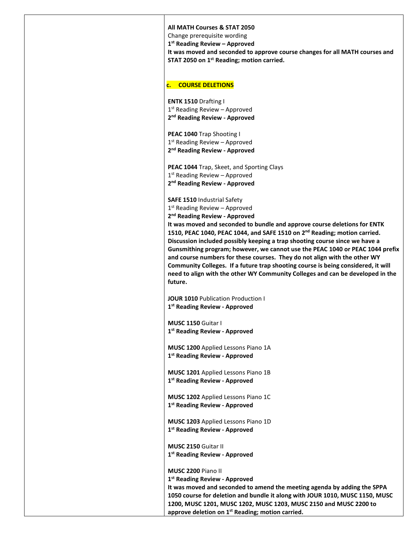| All MATH Courses & STAT 2050<br>Change prerequisite wording<br>$1st$ Reading Review – Approved<br>It was moved and seconded to approve course changes for all MATH courses and<br>STAT 2050 on 1st Reading; motion carried.                                                                                                                                                                                                                                                                                                                                                                                                                                                                                             |
|-------------------------------------------------------------------------------------------------------------------------------------------------------------------------------------------------------------------------------------------------------------------------------------------------------------------------------------------------------------------------------------------------------------------------------------------------------------------------------------------------------------------------------------------------------------------------------------------------------------------------------------------------------------------------------------------------------------------------|
| <b>COURSE DELETIONS</b><br>c.                                                                                                                                                                                                                                                                                                                                                                                                                                                                                                                                                                                                                                                                                           |
| <b>ENTK 1510 Drafting I</b><br>$1st$ Reading Review – Approved<br>2 <sup>nd</sup> Reading Review - Approved                                                                                                                                                                                                                                                                                                                                                                                                                                                                                                                                                                                                             |
| PEAC 1040 Trap Shooting I<br>$1st$ Reading Review – Approved<br>2 <sup>nd</sup> Reading Review - Approved                                                                                                                                                                                                                                                                                                                                                                                                                                                                                                                                                                                                               |
| <b>PEAC 1044 Trap, Skeet, and Sporting Clays</b><br>$1st$ Reading Review – Approved<br>2 <sup>nd</sup> Reading Review - Approved                                                                                                                                                                                                                                                                                                                                                                                                                                                                                                                                                                                        |
| <b>SAFE 1510 Industrial Safety</b><br>$1st$ Reading Review – Approved<br>2 <sup>nd</sup> Reading Review - Approved<br>It was moved and seconded to bundle and approve course deletions for ENTK<br>1510, PEAC 1040, PEAC 1044, and SAFE 1510 on 2 <sup>nd</sup> Reading; motion carried.<br>Discussion included possibly keeping a trap shooting course since we have a<br>Gunsmithing program; however, we cannot use the PEAC 1040 or PEAC 1044 prefix<br>and course numbers for these courses. They do not align with the other WY<br>Community Colleges. If a future trap shooting course is being considered, it will<br>need to align with the other WY Community Colleges and can be developed in the<br>future. |
| <b>JOUR 1010</b> Publication Production I<br>1 <sup>st</sup> Reading Review - Approved                                                                                                                                                                                                                                                                                                                                                                                                                                                                                                                                                                                                                                  |
| MUSC 1150 Guitar I<br>1 <sup>st</sup> Reading Review - Approved                                                                                                                                                                                                                                                                                                                                                                                                                                                                                                                                                                                                                                                         |
| MUSC 1200 Applied Lessons Piano 1A<br>1st Reading Review - Approved                                                                                                                                                                                                                                                                                                                                                                                                                                                                                                                                                                                                                                                     |
| MUSC 1201 Applied Lessons Piano 1B<br>1 <sup>st</sup> Reading Review - Approved                                                                                                                                                                                                                                                                                                                                                                                                                                                                                                                                                                                                                                         |
| <b>MUSC 1202</b> Applied Lessons Piano 1C<br>1st Reading Review - Approved                                                                                                                                                                                                                                                                                                                                                                                                                                                                                                                                                                                                                                              |
| MUSC 1203 Applied Lessons Piano 1D<br>1 <sup>st</sup> Reading Review - Approved                                                                                                                                                                                                                                                                                                                                                                                                                                                                                                                                                                                                                                         |
| <b>MUSC 2150 Guitar II</b><br>1 <sup>st</sup> Reading Review - Approved                                                                                                                                                                                                                                                                                                                                                                                                                                                                                                                                                                                                                                                 |
| MUSC 2200 Piano II<br>1 <sup>st</sup> Reading Review - Approved<br>It was moved and seconded to amend the meeting agenda by adding the SPPA<br>1050 course for deletion and bundle it along with JOUR 1010, MUSC 1150, MUSC<br>1200, MUSC 1201, MUSC 1202, MUSC 1203, MUSC 2150 and MUSC 2200 to<br>approve deletion on 1 <sup>st</sup> Reading; motion carried.                                                                                                                                                                                                                                                                                                                                                        |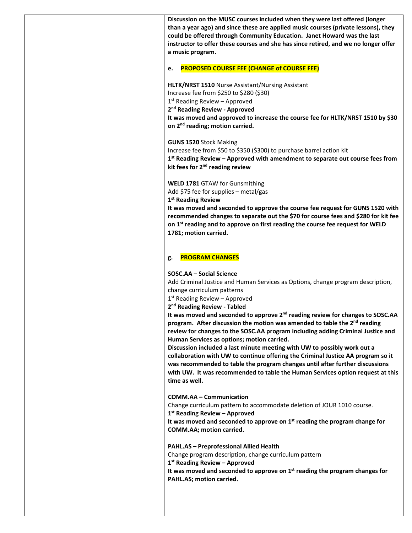**Discussion on the MUSC courses included when they were last offered (longer than a year ago) and since these are applied music courses (private lessons), they could be offered through Community Education. Janet Howard was the last instructor to offer these courses and she has since retired, and we no longer offer a music program.** 

#### **e. PROPOSED COURSE FEE (CHANGE of COURSE FEE)**

#### **HLTK/NRST 1510** Nurse Assistant/Nursing Assistant

Increase fee from \$250 to \$280 (\$30)

 $1<sup>st</sup>$  Reading Review – Approved

**2nd Reading Review - Approved**

**It was moved and approved to increase the course fee for HLTK/NRST 1510 by \$30 on 2nd reading; motion carried.**

**GUNS 1520** Stock Making

Increase fee from \$50 to \$350 (\$300) to purchase barrel action kit

**1st Reading Review – Approved with amendment to separate out course fees from kit fees for 2nd reading review**

**WELD 1781** GTAW for Gunsmithing

Add \$75 fee for supplies – metal/gas

**1st Reading Review**

**It was moved and seconded to approve the course fee request for GUNS 1520 with recommended changes to separate out the \$70 for course fees and \$280 for kit fee on 1st reading and to approve on first reading the course fee request for WELD 1781; motion carried.**

#### **g. PROGRAM CHANGES**

#### **SOSC.AA – Social Science**

Add Criminal Justice and Human Services as Options, change program description, change curriculum patterns

 $1<sup>st</sup>$  Reading Review – Approved

**2nd Reading Review - Tabled**

**It was moved and seconded to approve 2nd reading review for changes to SOSC.AA program. After discussion the motion was amended to table the 2nd reading review for changes to the SOSC.AA program including adding Criminal Justice and Human Services as options; motion carried.**

**Discussion included a last minute meeting with UW to possibly work out a collaboration with UW to continue offering the Criminal Justice AA program so it was recommended to table the program changes until after further discussions with UW. It was recommended to table the Human Services option request at this time as well.**

**COMM.AA – Communication**

Change curriculum pattern to accommodate deletion of JOUR 1010 course.

**1st Reading Review – Approved**

**It was moved and seconded to approve on 1st reading the program change for COMM.AA; motion carried.**

**PAHL.AS – Preprofessional Allied Health**

Change program description, change curriculum pattern

**1st Reading Review – Approved**

**It was moved and seconded to approve on 1st reading the program changes for PAHL.AS; motion carried.**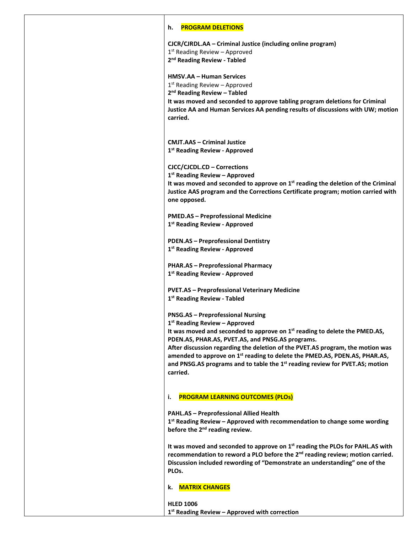#### **h. PROGRAM DELETIONS**

**CJCR/CJRDL.AA – Criminal Justice (including online program)** 1<sup>st</sup> Reading Review - Approved **2nd Reading Review - Tabled HMSV.AA – Human Services** 1<sup>st</sup> Reading Review - Approved **2nd Reading Review – Tabled It was moved and seconded to approve tabling program deletions for Criminal Justice AA and Human Services AA pending results of discussions with UW; motion carried. CMJT.AAS – Criminal Justice 1st Reading Review - Approved CJCC/CJCDL.CD – Corrections 1st Reading Review – Approved It was moved and seconded to approve on 1st reading the deletion of the Criminal Justice AAS program and the Corrections Certificate program; motion carried with one opposed. PMED.AS – Preprofessional Medicine 1st Reading Review - Approved PDEN.AS – Preprofessional Dentistry 1st Reading Review - Approved PHAR.AS – Preprofessional Pharmacy 1st Reading Review - Approved PVET.AS – Preprofessional Veterinary Medicine 1st Reading Review - Tabled PNSG.AS – Preprofessional Nursing 1st Reading Review – Approved It was moved and seconded to approve on 1st reading to delete the PMED.AS, PDEN.AS, PHAR.AS, PVET.AS, and PNSG.AS programs. After discussion regarding the deletion of the PVET.AS program, the motion was amended to approve on 1st reading to delete the PMED.AS, PDEN.AS, PHAR.AS, and PNSG.AS programs and to table the 1st reading review for PVET.AS; motion carried. i. PROGRAM LEARNING OUTCOMES (PLOs) PAHL.AS – Preprofessional Allied Health 1st Reading Review – Approved with recommendation to change some wording before the 2nd reading review. It was moved and seconded to approve on 1st reading the PLOs for PAHL.AS with**  recommendation to reword a PLO before the 2<sup>nd</sup> reading review; motion carried. **Discussion included rewording of "Demonstrate an understanding" one of the PLOs. k. MATRIX CHANGES**

**HLED 1006 1st Reading Review – Approved with correction**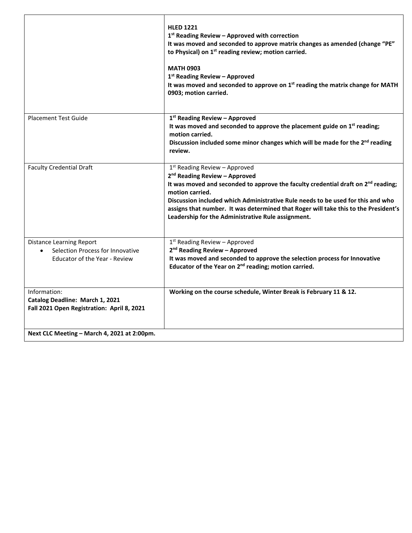|                                                                                                             | <b>HLED 1221</b><br>$1st$ Reading Review – Approved with correction<br>It was moved and seconded to approve matrix changes as amended (change "PE"<br>to Physical) on 1 <sup>st</sup> reading review; motion carried.<br><b>MATH 0903</b><br>$1st$ Reading Review – Approved<br>It was moved and seconded to approve on 1 <sup>st</sup> reading the matrix change for MATH<br>0903; motion carried.                              |
|-------------------------------------------------------------------------------------------------------------|----------------------------------------------------------------------------------------------------------------------------------------------------------------------------------------------------------------------------------------------------------------------------------------------------------------------------------------------------------------------------------------------------------------------------------|
| <b>Placement Test Guide</b>                                                                                 | 1st Reading Review - Approved<br>It was moved and seconded to approve the placement guide on $1st$ reading;<br>motion carried.<br>Discussion included some minor changes which will be made for the 2 <sup>nd</sup> reading<br>review.                                                                                                                                                                                           |
| <b>Faculty Credential Draft</b>                                                                             | 1 <sup>st</sup> Reading Review - Approved<br>2 <sup>nd</sup> Reading Review - Approved<br>It was moved and seconded to approve the faculty credential draft on $2nd$ reading;<br>motion carried.<br>Discussion included which Administrative Rule needs to be used for this and who<br>assigns that number. It was determined that Roger will take this to the President's<br>Leadership for the Administrative Rule assignment. |
| <b>Distance Learning Report</b><br>Selection Process for Innovative<br><b>Educator of the Year - Review</b> | 1st Reading Review - Approved<br>2 <sup>nd</sup> Reading Review - Approved<br>It was moved and seconded to approve the selection process for Innovative<br>Educator of the Year on 2 <sup>nd</sup> reading; motion carried.                                                                                                                                                                                                      |
| Information:<br>Catalog Deadline: March 1, 2021<br>Fall 2021 Open Registration: April 8, 2021               | Working on the course schedule, Winter Break is February 11 & 12.                                                                                                                                                                                                                                                                                                                                                                |
| Next CLC Meeting - March 4, 2021 at 2:00pm.                                                                 |                                                                                                                                                                                                                                                                                                                                                                                                                                  |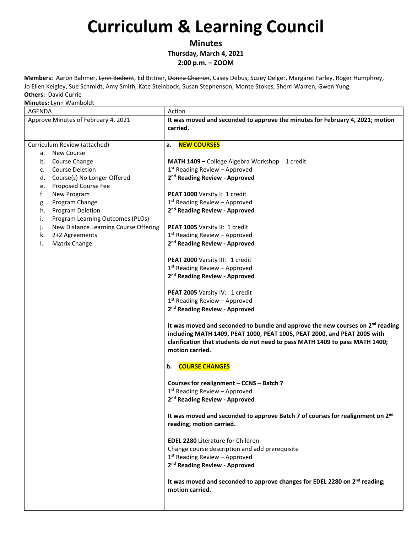**Minutes**

**Thursday, March 4, 2021**

**2:00 p.m. – ZOOM** 

**Members:** Aaron Bahmer, Lynn Bedient, Ed Bittner, Donna Charron, Casey Debus, Suzey Delger, Margaret Farley, Roger Humphrey, Jo Ellen Keigley, Sue Schmidt, Amy Smith, Kate Steinbock, Susan Stephenson, Monte Stokes, Sherri Warren, Gwen Yung **Others:** David Currie

| <b>AGENDA</b>                                                                                                                                                                                                                                                                                                                                                                                | Action                                                                                                                                                                                                                                                                                                                                                                                                                                                                                                                                                                                                                                                                                                                                                                                                                                                                                                                                                                                                                                                                                                                                                                                                                                                                                                                                                                                                                                                                                  |
|----------------------------------------------------------------------------------------------------------------------------------------------------------------------------------------------------------------------------------------------------------------------------------------------------------------------------------------------------------------------------------------------|-----------------------------------------------------------------------------------------------------------------------------------------------------------------------------------------------------------------------------------------------------------------------------------------------------------------------------------------------------------------------------------------------------------------------------------------------------------------------------------------------------------------------------------------------------------------------------------------------------------------------------------------------------------------------------------------------------------------------------------------------------------------------------------------------------------------------------------------------------------------------------------------------------------------------------------------------------------------------------------------------------------------------------------------------------------------------------------------------------------------------------------------------------------------------------------------------------------------------------------------------------------------------------------------------------------------------------------------------------------------------------------------------------------------------------------------------------------------------------------------|
| Approve Minutes of February 4, 2021                                                                                                                                                                                                                                                                                                                                                          | It was moved and seconded to approve the minutes for February 4, 2021; motion<br>carried.                                                                                                                                                                                                                                                                                                                                                                                                                                                                                                                                                                                                                                                                                                                                                                                                                                                                                                                                                                                                                                                                                                                                                                                                                                                                                                                                                                                               |
| Curriculum Review (attached)<br><b>New Course</b><br>а.<br>b. Course Change<br><b>Course Deletion</b><br>c.<br>Course(s) No Longer Offered<br>d.<br>Proposed Course Fee<br>e.<br>f.<br>New Program<br>Program Change<br>g.<br>Program Deletion<br>h.<br>i.<br>Program Learning Outcomes (PLOs)<br>New Distance Learning Course Offering<br>j.<br>k.<br>2+2 Agreements<br>Matrix Change<br>Ι. | <b>NEW COURSES</b><br>a.<br>MATH 1409 - College Algebra Workshop 1 credit<br>$1st$ Reading Review - Approved<br>2 <sup>nd</sup> Reading Review - Approved<br>PEAT 1000 Varsity I: 1 credit<br>$1st$ Reading Review - Approved<br>2 <sup>nd</sup> Reading Review - Approved<br>PEAT 1005 Varsity II: 1 credit<br>$1st$ Reading Review - Approved<br>2 <sup>nd</sup> Reading Review - Approved<br>PEAT 2000 Varsity III: 1 credit<br>$1st$ Reading Review – Approved<br>2 <sup>nd</sup> Reading Review - Approved<br>PEAT 2005 Varsity IV: 1 credit<br>$1st$ Reading Review - Approved<br>2 <sup>nd</sup> Reading Review - Approved<br>It was moved and seconded to bundle and approve the new courses on $2^{nd}$ reading<br>including MATH 1409, PEAT 1000, PEAT 1005, PEAT 2000, and PEAT 2005 with<br>clarification that students do not need to pass MATH 1409 to pass MATH 1400;<br>motion carried.<br><b>COURSE CHANGES</b><br>b.<br>Courses for realignment - CCNS - Batch 7<br>$1st$ Reading Review - Approved<br>2 <sup>nd</sup> Reading Review - Approved<br>It was moved and seconded to approve Batch 7 of courses for realignment on 2 <sup>nd</sup><br>reading; motion carried.<br><b>EDEL 2280 Literature for Children</b><br>Change course description and add prerequisite<br>$1st$ Reading Review – Approved<br>2 <sup>nd</sup> Reading Review - Approved<br>It was moved and seconded to approve changes for EDEL 2280 on 2 <sup>nd</sup> reading;<br>motion carried. |
|                                                                                                                                                                                                                                                                                                                                                                                              |                                                                                                                                                                                                                                                                                                                                                                                                                                                                                                                                                                                                                                                                                                                                                                                                                                                                                                                                                                                                                                                                                                                                                                                                                                                                                                                                                                                                                                                                                         |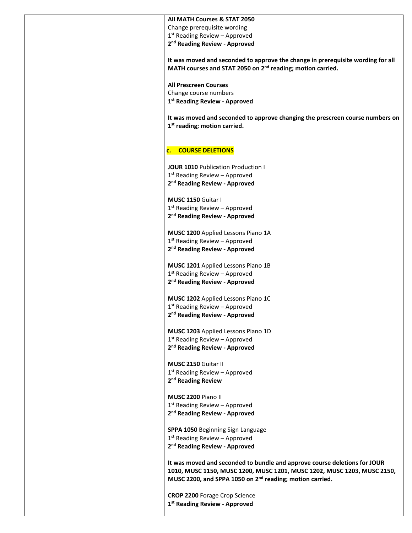#### **All MATH Courses & STAT 2050**

Change prerequisite wording

1<sup>st</sup> Reading Review - Approved

**2nd Reading Review - Approved**

**It was moved and seconded to approve the change in prerequisite wording for all MATH courses and STAT 2050 on 2nd reading; motion carried.**

**All Prescreen Courses** Change course numbers **1st Reading Review - Approved**

**It was moved and seconded to approve changing the prescreen course numbers on 1st reading; motion carried.**

#### **c. COURSE DELETIONS**

**JOUR 1010** Publication Production I  $1<sup>st</sup>$  Reading Review – Approved **2nd Reading Review - Approved**

**MUSC 1150** Guitar I  $1<sup>st</sup>$  Reading Review – Approved **2nd Reading Review - Approved**

**MUSC 1200** Applied Lessons Piano 1A 1<sup>st</sup> Reading Review - Approved **2nd Reading Review - Approved**

**MUSC 1201** Applied Lessons Piano 1B 1<sup>st</sup> Reading Review - Approved **2nd Reading Review - Approved**

**MUSC 1202** Applied Lessons Piano 1C 1<sup>st</sup> Reading Review - Approved **2nd Reading Review - Approved**

**MUSC 1203** Applied Lessons Piano 1D 1<sup>st</sup> Reading Review - Approved **2nd Reading Review - Approved**

**MUSC 2150** Guitar II  $1<sup>st</sup>$  Reading Review – Approved **2nd Reading Review**

**MUSC 2200** Piano II  $1<sup>st</sup>$  Reading Review – Approved **2nd Reading Review - Approved**

**SPPA 1050** Beginning Sign Language 1<sup>st</sup> Reading Review – Approved **2nd Reading Review - Approved**

**It was moved and seconded to bundle and approve course deletions for JOUR 1010, MUSC 1150, MUSC 1200, MUSC 1201, MUSC 1202, MUSC 1203, MUSC 2150, MUSC 2200, and SPPA 1050 on 2nd reading; motion carried.**

**CROP 2200** Forage Crop Science **1st Reading Review - Approved**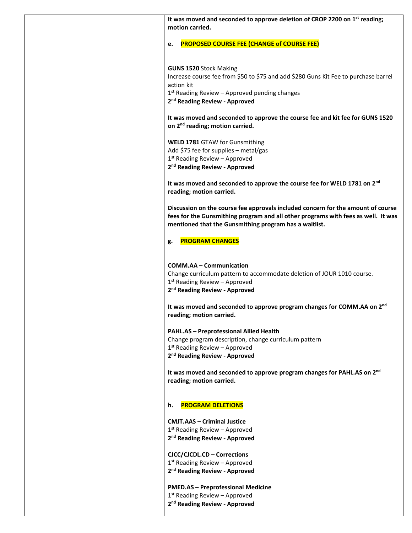| It was moved and seconded to approve deletion of CROP 2200 on 1st reading;<br>motion carried.                                                                                                                                      |
|------------------------------------------------------------------------------------------------------------------------------------------------------------------------------------------------------------------------------------|
| <b>PROPOSED COURSE FEE (CHANGE of COURSE FEE)</b><br>e.                                                                                                                                                                            |
| <b>GUNS 1520 Stock Making</b><br>Increase course fee from \$50 to \$75 and add \$280 Guns Kit Fee to purchase barrel<br>action kit<br>$1st$ Reading Review – Approved pending changes<br>2 <sup>nd</sup> Reading Review - Approved |
| It was moved and seconded to approve the course fee and kit fee for GUNS 1520<br>on 2 <sup>nd</sup> reading; motion carried.                                                                                                       |
| WELD 1781 GTAW for Gunsmithing<br>Add \$75 fee for supplies - metal/gas<br>$1st$ Reading Review - Approved<br>2 <sup>nd</sup> Reading Review - Approved                                                                            |
| It was moved and seconded to approve the course fee for WELD 1781 on 2nd<br>reading; motion carried.                                                                                                                               |
| Discussion on the course fee approvals included concern for the amount of course<br>fees for the Gunsmithing program and all other programs with fees as well. It was<br>mentioned that the Gunsmithing program has a waitlist.    |
| <b>PROGRAM CHANGES</b><br>g.                                                                                                                                                                                                       |
| <b>COMM.AA - Communication</b><br>Change curriculum pattern to accommodate deletion of JOUR 1010 course.<br>$1st$ Reading Review - Approved<br>2 <sup>nd</sup> Reading Review - Approved                                           |
| It was moved and seconded to approve program changes for COMM.AA on 2 <sup>nd</sup><br>reading; motion carried.                                                                                                                    |
| <b>PAHL.AS - Preprofessional Allied Health</b><br>Change program description, change curriculum pattern<br>$1st$ Reading Review - Approved<br>2 <sup>nd</sup> Reading Review - Approved                                            |
| It was moved and seconded to approve program changes for PAHL.AS on 2nd<br>reading; motion carried.                                                                                                                                |
| <b>PROGRAM DELETIONS</b><br>h.                                                                                                                                                                                                     |
| <b>CMJT.AAS – Criminal Justice</b><br>$1st$ Reading Review - Approved<br>2 <sup>nd</sup> Reading Review - Approved                                                                                                                 |
| CJCC/CJCDL.CD - Corrections<br>$1st$ Reading Review – Approved<br>2 <sup>nd</sup> Reading Review - Approved                                                                                                                        |
| <b>PMED.AS - Preprofessional Medicine</b><br>$1st$ Reading Review - Approved<br>2 <sup>nd</sup> Reading Review - Approved                                                                                                          |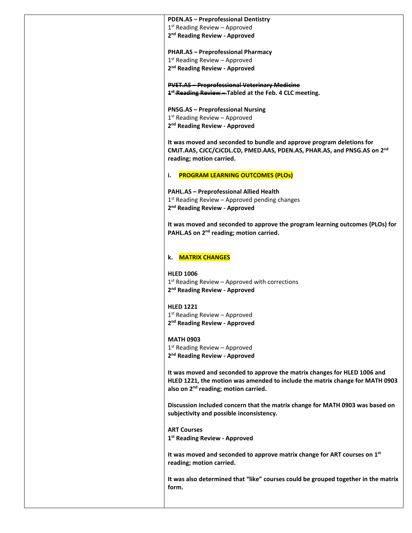**PDEN.AS – Preprofessional Dentistry**  $1<sup>st</sup>$  Reading Review – Approved **2nd Reading Review - Approved PHAR.AS – Preprofessional Pharmacy**  $1<sup>st</sup>$  Reading Review – Approved **2nd Reading Review - Approved PVET.AS – Preprofessional Veterinary Medicine 1st Reading Review – Tabled at the Feb. 4 CLC meeting. PNSG.AS – Preprofessional Nursing** 1<sup>st</sup> Reading Review - Approved **2nd Reading Review - Approved It was moved and seconded to bundle and approve program deletions for CMJT.AAS, CJCC/CJCDL.CD, PMED.AAS, PDEN.AS, PHAR.AS, and PNSG.AS on 2nd reading; motion carried. i. PROGRAM LEARNING OUTCOMES (PLOs) PAHL.AS – Preprofessional Allied Health**  $1<sup>st</sup>$  Reading Review – Approved pending changes **2nd Reading Review - Approved It was moved and seconded to approve the program learning outcomes (PLOs) for PAHL.AS on 2nd reading; motion carried. k. MATRIX CHANGES HLED 1006**  $1<sup>st</sup>$  Reading Review – Approved with corrections **2nd Reading Review - Approved HLED 1221** 1<sup>st</sup> Reading Review - Approved

**2nd Reading Review - Approved**

**MATH 0903** 1<sup>st</sup> Reading Review - Approved **2nd Reading Review - Approved**

**It was moved and seconded to approve the matrix changes for HLED 1006 and HLED 1221, the motion was amended to include the matrix change for MATH 0903 also on 2nd reading; motion carried.**

**Discussion included concern that the matrix change for MATH 0903 was based on subjectivity and possible inconsistency.**

**ART Courses 1st Reading Review - Approved**

**It was moved and seconded to approve matrix change for ART courses on 1st reading; motion carried.**

**It was also determined that "like" courses could be grouped together in the matrix form.**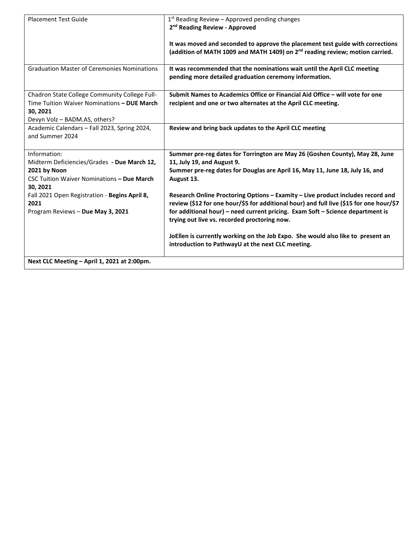| <b>Placement Test Guide</b>                                                                                                                  | $1st$ Reading Review – Approved pending changes<br>2 <sup>nd</sup> Reading Review - Approved                                                                                                                                                                                                                 |
|----------------------------------------------------------------------------------------------------------------------------------------------|--------------------------------------------------------------------------------------------------------------------------------------------------------------------------------------------------------------------------------------------------------------------------------------------------------------|
|                                                                                                                                              |                                                                                                                                                                                                                                                                                                              |
|                                                                                                                                              | It was moved and seconded to approve the placement test guide with corrections<br>(addition of MATH 1009 and MATH 1409) on 2 <sup>nd</sup> reading review; motion carried.                                                                                                                                   |
| <b>Graduation Master of Ceremonies Nominations</b>                                                                                           | It was recommended that the nominations wait until the April CLC meeting<br>pending more detailed graduation ceremony information.                                                                                                                                                                           |
| Chadron State College Community College Full-<br>Time Tuition Waiver Nominations - DUE March<br>30, 2021<br>Devyn Volz - BADM.AS, others?    | Submit Names to Academics Office or Financial Aid Office - will vote for one<br>recipient and one or two alternates at the April CLC meeting.                                                                                                                                                                |
| Academic Calendars - Fall 2023, Spring 2024,<br>and Summer 2024                                                                              | Review and bring back updates to the April CLC meeting                                                                                                                                                                                                                                                       |
| Information:<br>Midterm Deficiencies/Grades - Due March 12,<br>2021 by Noon<br><b>CSC Tuition Waiver Nominations - Due March</b><br>30, 2021 | Summer pre-reg dates for Torrington are May 26 (Goshen County), May 28, June<br>11, July 19, and August 9.<br>Summer pre-reg dates for Douglas are April 16, May 11, June 18, July 16, and<br>August 13.                                                                                                     |
| Fall 2021 Open Registration - Begins April 8,<br>2021<br>Program Reviews - Due May 3, 2021                                                   | Research Online Proctoring Options - Examity - Live product includes record and<br>review (\$12 for one hour/\$5 for additional hour) and full live (\$15 for one hour/\$7<br>for additional hour) - need current pricing. Exam Soft - Science department is<br>trying out live vs. recorded proctoring now. |
|                                                                                                                                              | JoEllen is currently working on the Job Expo. She would also like to present an<br>introduction to PathwayU at the next CLC meeting.                                                                                                                                                                         |
| Next CLC Meeting - April 1, 2021 at 2:00pm.                                                                                                  |                                                                                                                                                                                                                                                                                                              |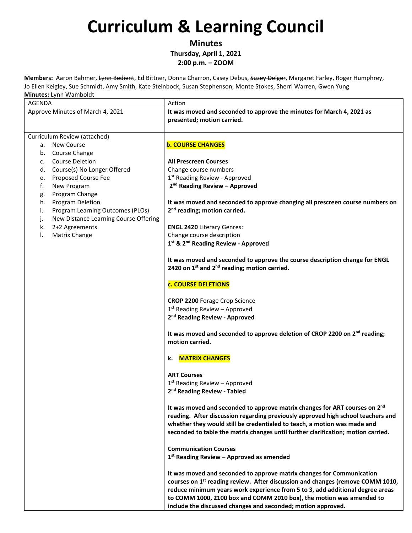**Minutes Thursday, April 1, 2021**

**2:00 p.m. – ZOOM** 

**Members:** Aaron Bahmer, Lynn Bedient, Ed Bittner, Donna Charron, Casey Debus, Suzey Delger, Margaret Farley, Roger Humphrey, Jo Ellen Keigley, Sue Schmidt, Amy Smith, Kate Steinbock, Susan Stephenson, Monte Stokes, Sherri Warren, Gwen Yung **Minutes:** Lynn Wamboldt

| iviliutes: Lynn wanibolut                                                             |                                                                                                                                                                                                                                                                                                                                                                                              |
|---------------------------------------------------------------------------------------|----------------------------------------------------------------------------------------------------------------------------------------------------------------------------------------------------------------------------------------------------------------------------------------------------------------------------------------------------------------------------------------------|
| AGENDA                                                                                | Action                                                                                                                                                                                                                                                                                                                                                                                       |
| Approve Minutes of March 4, 2021                                                      | It was moved and seconded to approve the minutes for March 4, 2021 as<br>presented; motion carried.                                                                                                                                                                                                                                                                                          |
| Curriculum Review (attached)                                                          |                                                                                                                                                                                                                                                                                                                                                                                              |
| <b>New Course</b><br>а.                                                               | <b>b. COURSE CHANGES</b>                                                                                                                                                                                                                                                                                                                                                                     |
| Course Change<br>b.                                                                   |                                                                                                                                                                                                                                                                                                                                                                                              |
| <b>Course Deletion</b><br>c.                                                          | <b>All Prescreen Courses</b>                                                                                                                                                                                                                                                                                                                                                                 |
| Course(s) No Longer Offered<br>d.                                                     | Change course numbers                                                                                                                                                                                                                                                                                                                                                                        |
| Proposed Course Fee<br>e.                                                             | 1 <sup>st</sup> Reading Review - Approved                                                                                                                                                                                                                                                                                                                                                    |
| New Program<br>f.                                                                     | 2 <sup>nd</sup> Reading Review - Approved                                                                                                                                                                                                                                                                                                                                                    |
| Program Change<br>g.                                                                  |                                                                                                                                                                                                                                                                                                                                                                                              |
| Program Deletion<br>h.                                                                | It was moved and seconded to approve changing all prescreen course numbers on                                                                                                                                                                                                                                                                                                                |
| Program Learning Outcomes (PLOs)<br>i.<br>New Distance Learning Course Offering<br>j. | 2 <sup>nd</sup> reading; motion carried.                                                                                                                                                                                                                                                                                                                                                     |
| 2+2 Agreements<br>k.                                                                  | <b>ENGL 2420 Literary Genres:</b>                                                                                                                                                                                                                                                                                                                                                            |
| Matrix Change<br>I.                                                                   | Change course description                                                                                                                                                                                                                                                                                                                                                                    |
|                                                                                       | 1st & 2 <sup>nd</sup> Reading Review - Approved                                                                                                                                                                                                                                                                                                                                              |
|                                                                                       |                                                                                                                                                                                                                                                                                                                                                                                              |
|                                                                                       | It was moved and seconded to approve the course description change for ENGL<br>2420 on $1^{st}$ and $2^{nd}$ reading; motion carried.                                                                                                                                                                                                                                                        |
|                                                                                       | c. COURSE DELETIONS                                                                                                                                                                                                                                                                                                                                                                          |
|                                                                                       | <b>CROP 2200 Forage Crop Science</b>                                                                                                                                                                                                                                                                                                                                                         |
|                                                                                       | 1 <sup>st</sup> Reading Review - Approved                                                                                                                                                                                                                                                                                                                                                    |
|                                                                                       | 2 <sup>nd</sup> Reading Review - Approved                                                                                                                                                                                                                                                                                                                                                    |
|                                                                                       |                                                                                                                                                                                                                                                                                                                                                                                              |
|                                                                                       | It was moved and seconded to approve deletion of CROP 2200 on 2 <sup>nd</sup> reading;<br>motion carried.                                                                                                                                                                                                                                                                                    |
|                                                                                       | k. MATRIX CHANGES                                                                                                                                                                                                                                                                                                                                                                            |
|                                                                                       | <b>ART Courses</b>                                                                                                                                                                                                                                                                                                                                                                           |
|                                                                                       | $1st$ Reading Review - Approved                                                                                                                                                                                                                                                                                                                                                              |
|                                                                                       | 2 <sup>nd</sup> Reading Review - Tabled                                                                                                                                                                                                                                                                                                                                                      |
|                                                                                       | It was moved and seconded to approve matrix changes for ART courses on 2 <sup>nd</sup><br>reading. After discussion regarding previously approved high school teachers and<br>whether they would still be credentialed to teach, a motion was made and<br>seconded to table the matrix changes until further clarification; motion carried.                                                  |
|                                                                                       | <b>Communication Courses</b>                                                                                                                                                                                                                                                                                                                                                                 |
|                                                                                       | $1st$ Reading Review – Approved as amended                                                                                                                                                                                                                                                                                                                                                   |
|                                                                                       | It was moved and seconded to approve matrix changes for Communication<br>courses on 1 <sup>st</sup> reading review. After discussion and changes (remove COMM 1010,<br>reduce minimum years work experience from 5 to 3, add additional degree areas<br>to COMM 1000, 2100 box and COMM 2010 box), the motion was amended to<br>include the discussed changes and seconded; motion approved. |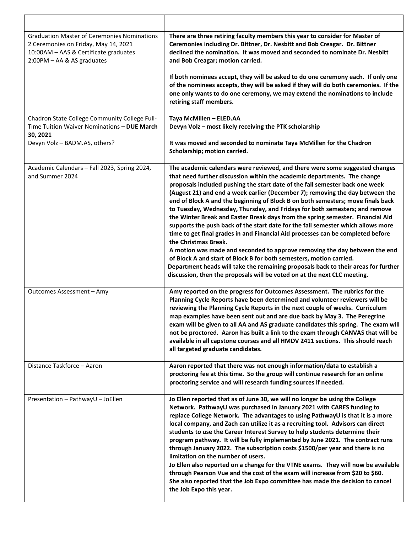| <b>Graduation Master of Ceremonies Nominations</b><br>2 Ceremonies on Friday, May 14, 2021<br>10:00AM - AAS & Certificate graduates<br>2:00PM - AA & AS graduates | There are three retiring faculty members this year to consider for Master of<br>Ceremonies including Dr. Bittner, Dr. Nesbitt and Bob Creagar. Dr. Bittner<br>declined the nomination. It was moved and seconded to nominate Dr. Nesbitt<br>and Bob Creagar; motion carried.                                                                                                                                                                                                                                                                                                                                                                                                                                                                                                                                                                                                                                                                                                                                                                                                                       |
|-------------------------------------------------------------------------------------------------------------------------------------------------------------------|----------------------------------------------------------------------------------------------------------------------------------------------------------------------------------------------------------------------------------------------------------------------------------------------------------------------------------------------------------------------------------------------------------------------------------------------------------------------------------------------------------------------------------------------------------------------------------------------------------------------------------------------------------------------------------------------------------------------------------------------------------------------------------------------------------------------------------------------------------------------------------------------------------------------------------------------------------------------------------------------------------------------------------------------------------------------------------------------------|
|                                                                                                                                                                   | If both nominees accept, they will be asked to do one ceremony each. If only one<br>of the nominees accepts, they will be asked if they will do both ceremonies. If the<br>one only wants to do one ceremony, we may extend the nominations to include<br>retiring staff members.                                                                                                                                                                                                                                                                                                                                                                                                                                                                                                                                                                                                                                                                                                                                                                                                                  |
| Chadron State College Community College Full-<br>Time Tuition Waiver Nominations - DUE March<br>30, 2021                                                          | Taya McMillen - ELED.AA<br>Devyn Volz - most likely receiving the PTK scholarship                                                                                                                                                                                                                                                                                                                                                                                                                                                                                                                                                                                                                                                                                                                                                                                                                                                                                                                                                                                                                  |
| Devyn Volz - BADM.AS, others?                                                                                                                                     | It was moved and seconded to nominate Taya McMillen for the Chadron<br>Scholarship; motion carried.                                                                                                                                                                                                                                                                                                                                                                                                                                                                                                                                                                                                                                                                                                                                                                                                                                                                                                                                                                                                |
| Academic Calendars - Fall 2023, Spring 2024,<br>and Summer 2024                                                                                                   | The academic calendars were reviewed, and there were some suggested changes<br>that need further discussion within the academic departments. The change<br>proposals included pushing the start date of the fall semester back one week<br>(August 21) and end a week earlier (December 7); removing the day between the<br>end of Block A and the beginning of Block B on both semesters; move finals back<br>to Tuesday, Wednesday, Thursday, and Fridays for both semesters; and remove<br>the Winter Break and Easter Break days from the spring semester. Financial Aid<br>supports the push back of the start date for the fall semester which allows more<br>time to get final grades in and Financial Aid processes can be completed before<br>the Christmas Break.<br>A motion was made and seconded to approve removing the day between the end<br>of Block A and start of Block B for both semesters, motion carried.<br>Department heads will take the remaining proposals back to their areas for further<br>discussion, then the proposals will be voted on at the next CLC meeting. |
| Outcomes Assessment - Amy                                                                                                                                         | Amy reported on the progress for Outcomes Assessment. The rubrics for the<br>Planning Cycle Reports have been determined and volunteer reviewers will be<br>reviewing the Planning Cycle Reports in the next couple of weeks. Curriculum<br>map examples have been sent out and are due back by May 3. The Peregrine<br>exam will be given to all AA and AS graduate candidates this spring. The exam will<br>not be proctored. Aaron has built a link to the exam through CANVAS that will be<br>available in all capstone courses and all HMDV 2411 sections. This should reach<br>all targeted graduate candidates.                                                                                                                                                                                                                                                                                                                                                                                                                                                                             |
| Distance Taskforce - Aaron                                                                                                                                        | Aaron reported that there was not enough information/data to establish a<br>proctoring fee at this time. So the group will continue research for an online<br>proctoring service and will research funding sources if needed.                                                                                                                                                                                                                                                                                                                                                                                                                                                                                                                                                                                                                                                                                                                                                                                                                                                                      |
| Presentation - PathwayU - JoEllen                                                                                                                                 | Jo Ellen reported that as of June 30, we will no longer be using the College<br>Network. PathwayU was purchased in January 2021 with CARES funding to<br>replace College Network. The advantages to using PathwayU is that it is a more<br>local company, and Zach can utilize it as a recruiting tool. Advisors can direct<br>students to use the Career Interest Survey to help students determine their<br>program pathway. It will be fully implemented by June 2021. The contract runs<br>through January 2022. The subscription costs \$1500/per year and there is no<br>limitation on the number of users.<br>Jo Ellen also reported on a change for the VTNE exams. They will now be available<br>through Pearson Vue and the cost of the exam will increase from \$20 to \$60.<br>She also reported that the Job Expo committee has made the decision to cancel<br>the Job Expo this year.                                                                                                                                                                                                |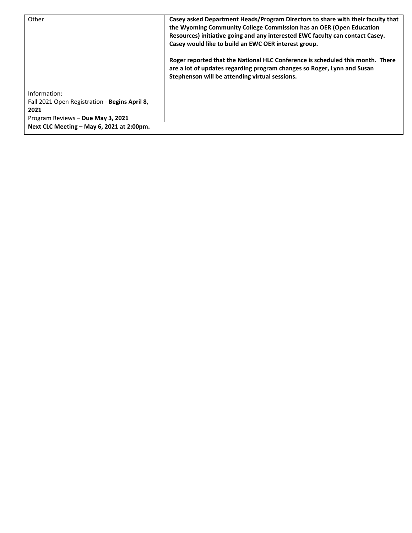| Other                                         | Casey asked Department Heads/Program Directors to share with their faculty that<br>the Wyoming Community College Commission has an OER (Open Education<br>Resources) initiative going and any interested EWC faculty can contact Casey.<br>Casey would like to build an EWC OER interest group.<br>Roger reported that the National HLC Conference is scheduled this month. There<br>are a lot of updates regarding program changes so Roger, Lynn and Susan<br>Stephenson will be attending virtual sessions. |
|-----------------------------------------------|----------------------------------------------------------------------------------------------------------------------------------------------------------------------------------------------------------------------------------------------------------------------------------------------------------------------------------------------------------------------------------------------------------------------------------------------------------------------------------------------------------------|
| Information:                                  |                                                                                                                                                                                                                                                                                                                                                                                                                                                                                                                |
| Fall 2021 Open Registration - Begins April 8, |                                                                                                                                                                                                                                                                                                                                                                                                                                                                                                                |
| 2021                                          |                                                                                                                                                                                                                                                                                                                                                                                                                                                                                                                |
| Program Reviews - Due May 3, 2021             |                                                                                                                                                                                                                                                                                                                                                                                                                                                                                                                |
| Next CLC Meeting - May 6, 2021 at 2:00pm.     |                                                                                                                                                                                                                                                                                                                                                                                                                                                                                                                |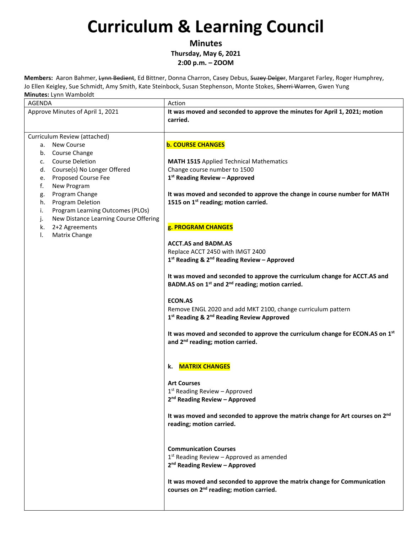**Minutes Thursday, May 6, 2021**

**2:00 p.m. – ZOOM** 

**Members:** Aaron Bahmer, Lynn Bedient, Ed Bittner, Donna Charron, Casey Debus, Suzey Delger, Margaret Farley, Roger Humphrey, Jo Ellen Keigley, Sue Schmidt, Amy Smith, Kate Steinbock, Susan Stephenson, Monte Stokes, Sherri Warren, Gwen Yung **Minutes:** Lynn Wamboldt

| iviliutes: Lynn wanibolut<br>AGENDA         | Action                                                                                    |
|---------------------------------------------|-------------------------------------------------------------------------------------------|
| Approve Minutes of April 1, 2021            | It was moved and seconded to approve the minutes for April 1, 2021; motion<br>carried.    |
| Curriculum Review (attached)                |                                                                                           |
| <b>New Course</b><br>а.                     | <b>b. COURSE CHANGES</b>                                                                  |
| b. Course Change                            |                                                                                           |
|                                             |                                                                                           |
| <b>Course Deletion</b><br>C.                | <b>MATH 1515 Applied Technical Mathematics</b>                                            |
| Course(s) No Longer Offered<br>d.           | Change course number to 1500                                                              |
| Proposed Course Fee<br>e.                   | 1st Reading Review - Approved                                                             |
| New Program<br>f.                           |                                                                                           |
| Program Change<br>g.                        | It was moved and seconded to approve the change in course number for MATH                 |
| Program Deletion<br>h.                      | 1515 on 1 <sup>st</sup> reading; motion carried.                                          |
| Program Learning Outcomes (PLOs)<br>i.      |                                                                                           |
| New Distance Learning Course Offering<br>j. |                                                                                           |
| 2+2 Agreements<br>k.                        | g. PROGRAM CHANGES                                                                        |
| Matrix Change                               |                                                                                           |
|                                             | <b>ACCT.AS and BADM.AS</b>                                                                |
|                                             | Replace ACCT 2450 with IMGT 2400                                                          |
|                                             | 1st Reading & 2 <sup>nd</sup> Reading Review - Approved                                   |
|                                             | It was moved and seconded to approve the curriculum change for ACCT.AS and                |
|                                             | BADM.AS on 1 <sup>st</sup> and 2 <sup>nd</sup> reading; motion carried.                   |
|                                             |                                                                                           |
|                                             | <b>ECON.AS</b>                                                                            |
|                                             | Remove ENGL 2020 and add MKT 2100, change curriculum pattern                              |
|                                             | 1 <sup>st</sup> Reading & 2 <sup>nd</sup> Reading Review Approved                         |
|                                             |                                                                                           |
|                                             | It was moved and seconded to approve the curriculum change for ECON.AS on 1st             |
|                                             | and 2 <sup>nd</sup> reading; motion carried.                                              |
|                                             | k. MATRIX CHANGES                                                                         |
|                                             | <b>Art Courses</b>                                                                        |
|                                             | $1st$ Reading Review – Approved                                                           |
|                                             | 2 <sup>nd</sup> Reading Review - Approved                                                 |
|                                             |                                                                                           |
|                                             | It was moved and seconded to approve the matrix change for Art courses on 2 <sup>nd</sup> |
|                                             | reading; motion carried.                                                                  |
|                                             |                                                                                           |
|                                             |                                                                                           |
|                                             | <b>Communication Courses</b>                                                              |
|                                             | $1st$ Reading Review – Approved as amended                                                |
|                                             | 2 <sup>nd</sup> Reading Review - Approved                                                 |
|                                             | It was moved and seconded to approve the matrix change for Communication                  |
|                                             | courses on 2 <sup>nd</sup> reading; motion carried.                                       |
|                                             |                                                                                           |
|                                             |                                                                                           |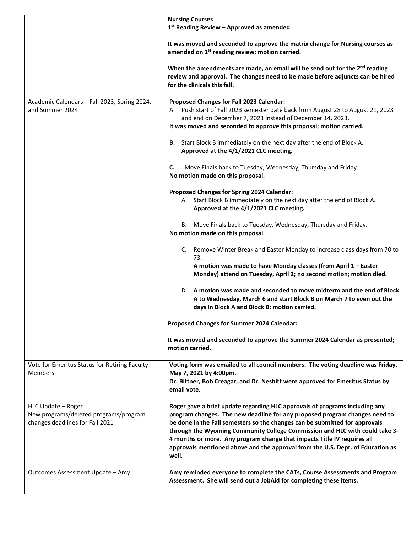|                                                                                                | <b>Nursing Courses</b><br>1 <sup>st</sup> Reading Review - Approved as amended                                                                                                                                                                                                                                                                                                                                                                                                                |
|------------------------------------------------------------------------------------------------|-----------------------------------------------------------------------------------------------------------------------------------------------------------------------------------------------------------------------------------------------------------------------------------------------------------------------------------------------------------------------------------------------------------------------------------------------------------------------------------------------|
|                                                                                                | It was moved and seconded to approve the matrix change for Nursing courses as<br>amended on 1 <sup>st</sup> reading review; motion carried.                                                                                                                                                                                                                                                                                                                                                   |
|                                                                                                | When the amendments are made, an email will be send out for the $2^{nd}$ reading<br>review and approval. The changes need to be made before adjuncts can be hired<br>for the clinicals this fall.                                                                                                                                                                                                                                                                                             |
| Academic Calendars - Fall 2023, Spring 2024,<br>and Summer 2024                                | Proposed Changes for Fall 2023 Calendar:<br>A. Push start of Fall 2023 semester date back from August 28 to August 21, 2023<br>and end on December 7, 2023 instead of December 14, 2023.<br>It was moved and seconded to approve this proposal; motion carried.                                                                                                                                                                                                                               |
|                                                                                                | B. Start Block B immediately on the next day after the end of Block A.<br>Approved at the 4/1/2021 CLC meeting.                                                                                                                                                                                                                                                                                                                                                                               |
|                                                                                                | Move Finals back to Tuesday, Wednesday, Thursday and Friday.<br>C.<br>No motion made on this proposal.                                                                                                                                                                                                                                                                                                                                                                                        |
|                                                                                                | Proposed Changes for Spring 2024 Calendar:<br>A. Start Block B immediately on the next day after the end of Block A.<br>Approved at the 4/1/2021 CLC meeting.                                                                                                                                                                                                                                                                                                                                 |
|                                                                                                | Move Finals back to Tuesday, Wednesday, Thursday and Friday.<br>В.<br>No motion made on this proposal.                                                                                                                                                                                                                                                                                                                                                                                        |
|                                                                                                | C. Remove Winter Break and Easter Monday to increase class days from 70 to<br>73.                                                                                                                                                                                                                                                                                                                                                                                                             |
|                                                                                                | A motion was made to have Monday classes (from April 1 - Easter<br>Monday) attend on Tuesday, April 2; no second motion; motion died.                                                                                                                                                                                                                                                                                                                                                         |
|                                                                                                | D. A motion was made and seconded to move midterm and the end of Block<br>A to Wednesday, March 6 and start Block B on March 7 to even out the<br>days in Block A and Block B; motion carried.                                                                                                                                                                                                                                                                                                |
|                                                                                                | Proposed Changes for Summer 2024 Calendar:                                                                                                                                                                                                                                                                                                                                                                                                                                                    |
|                                                                                                | It was moved and seconded to approve the Summer 2024 Calendar as presented;<br>motion carried.                                                                                                                                                                                                                                                                                                                                                                                                |
| Vote for Emeritus Status for Retiring Faculty<br>Members                                       | Voting form was emailed to all council members. The voting deadline was Friday,<br>May 7, 2021 by 4:00pm.<br>Dr. Bittner, Bob Creagar, and Dr. Nesbitt were approved for Emeritus Status by<br>email vote.                                                                                                                                                                                                                                                                                    |
| HLC Update - Roger<br>New programs/deleted programs/program<br>changes deadlines for Fall 2021 | Roger gave a brief update regarding HLC approvals of programs including any<br>program changes. The new deadline for any proposed program changes need to<br>be done in the Fall semesters so the changes can be submitted for approvals<br>through the Wyoming Community College Commission and HLC with could take 3-<br>4 months or more. Any program change that impacts Title IV requires all<br>approvals mentioned above and the approval from the U.S. Dept. of Education as<br>well. |
| Outcomes Assessment Update - Amy                                                               | Amy reminded everyone to complete the CATs, Course Assessments and Program<br>Assessment. She will send out a JobAid for completing these items.                                                                                                                                                                                                                                                                                                                                              |